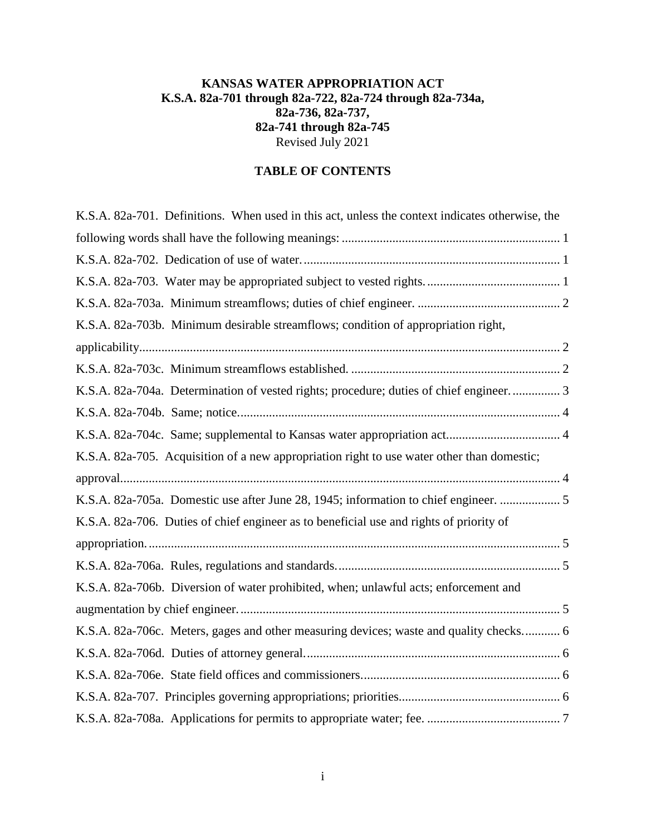## **KANSAS WATER APPROPRIATION ACT K.S.A. 82a-701 through 82a-722, 82a-724 through 82a-734a, 82a-736, 82a-737, 82a-741 through 82a-745** Revised July 2021

# **TABLE OF CONTENTS**

| K.S.A. 82a-701. Definitions. When used in this act, unless the context indicates otherwise, the |  |
|-------------------------------------------------------------------------------------------------|--|
|                                                                                                 |  |
|                                                                                                 |  |
|                                                                                                 |  |
|                                                                                                 |  |
| K.S.A. 82a-703b. Minimum desirable streamflows; condition of appropriation right,               |  |
|                                                                                                 |  |
|                                                                                                 |  |
| K.S.A. 82a-704a. Determination of vested rights; procedure; duties of chief engineer 3          |  |
|                                                                                                 |  |
|                                                                                                 |  |
| K.S.A. 82a-705. Acquisition of a new appropriation right to use water other than domestic;      |  |
|                                                                                                 |  |
| K.S.A. 82a-705a. Domestic use after June 28, 1945; information to chief engineer.  5            |  |
| K.S.A. 82a-706. Duties of chief engineer as to beneficial use and rights of priority of         |  |
|                                                                                                 |  |
|                                                                                                 |  |
| K.S.A. 82a-706b. Diversion of water prohibited, when; unlawful acts; enforcement and            |  |
|                                                                                                 |  |
| K.S.A. 82a-706c. Meters, gages and other measuring devices; waste and quality checks 6          |  |
|                                                                                                 |  |
|                                                                                                 |  |
|                                                                                                 |  |
|                                                                                                 |  |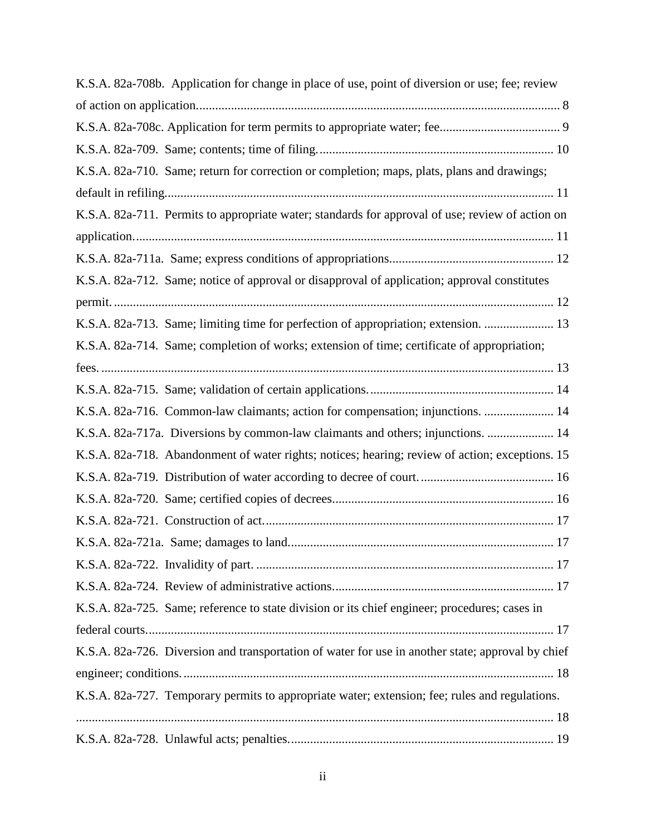| K.S.A. 82a-708b. Application for change in place of use, point of diversion or use; fee; review   |
|---------------------------------------------------------------------------------------------------|
|                                                                                                   |
|                                                                                                   |
|                                                                                                   |
| K.S.A. 82a-710. Same; return for correction or completion; maps, plats, plans and drawings;       |
|                                                                                                   |
| K.S.A. 82a-711. Permits to appropriate water; standards for approval of use; review of action on  |
|                                                                                                   |
|                                                                                                   |
| K.S.A. 82a-712. Same; notice of approval or disapproval of application; approval constitutes      |
|                                                                                                   |
| K.S.A. 82a-713. Same; limiting time for perfection of appropriation; extension.  13               |
| K.S.A. 82a-714. Same; completion of works; extension of time; certificate of appropriation;       |
|                                                                                                   |
|                                                                                                   |
| K.S.A. 82a-716. Common-law claimants; action for compensation; injunctions.  14                   |
| K.S.A. 82a-717a. Diversions by common-law claimants and others; injunctions.  14                  |
| K.S.A. 82a-718. Abandonment of water rights; notices; hearing; review of action; exceptions. 15   |
|                                                                                                   |
|                                                                                                   |
|                                                                                                   |
|                                                                                                   |
|                                                                                                   |
|                                                                                                   |
| K.S.A. 82a-725. Same; reference to state division or its chief engineer; procedures; cases in     |
|                                                                                                   |
| K.S.A. 82a-726. Diversion and transportation of water for use in another state; approval by chief |
|                                                                                                   |
| K.S.A. 82a-727. Temporary permits to appropriate water; extension; fee; rules and regulations.    |
|                                                                                                   |
|                                                                                                   |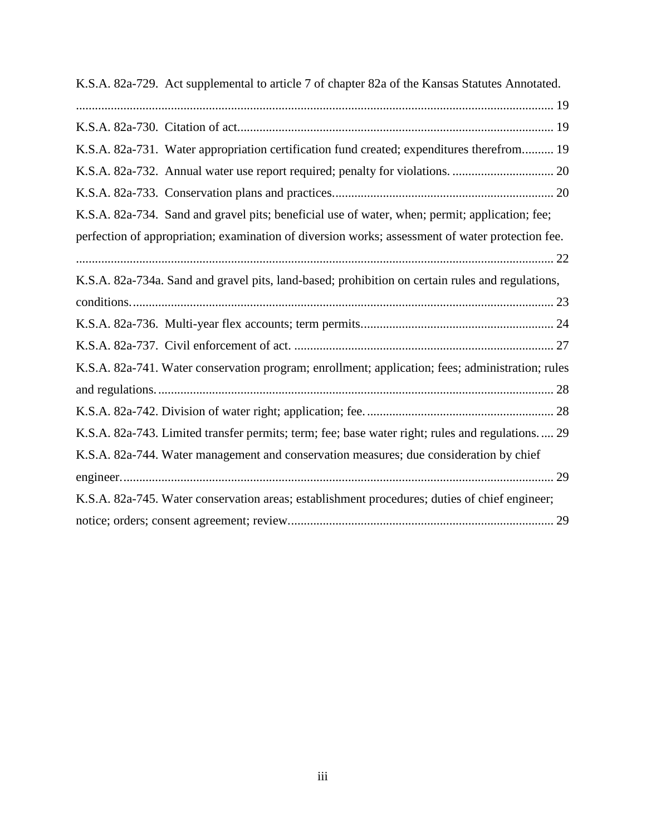| K.S.A. 82a-729. Act supplemental to article 7 of chapter 82a of the Kansas Statutes Annotated.   |
|--------------------------------------------------------------------------------------------------|
|                                                                                                  |
|                                                                                                  |
| K.S.A. 82a-731. Water appropriation certification fund created; expenditures therefrom 19        |
|                                                                                                  |
|                                                                                                  |
| K.S.A. 82a-734. Sand and gravel pits; beneficial use of water, when; permit; application; fee;   |
| perfection of appropriation; examination of diversion works; assessment of water protection fee. |
|                                                                                                  |
| K.S.A. 82a-734a. Sand and gravel pits, land-based; prohibition on certain rules and regulations, |
|                                                                                                  |
|                                                                                                  |
|                                                                                                  |
| K.S.A. 82a-741. Water conservation program; enrollment; application; fees; administration; rules |
|                                                                                                  |
|                                                                                                  |
| K.S.A. 82a-743. Limited transfer permits; term; fee; base water right; rules and regulations 29  |
| K.S.A. 82a-744. Water management and conservation measures; due consideration by chief           |
|                                                                                                  |
| K.S.A. 82a-745. Water conservation areas; establishment procedures; duties of chief engineer;    |
|                                                                                                  |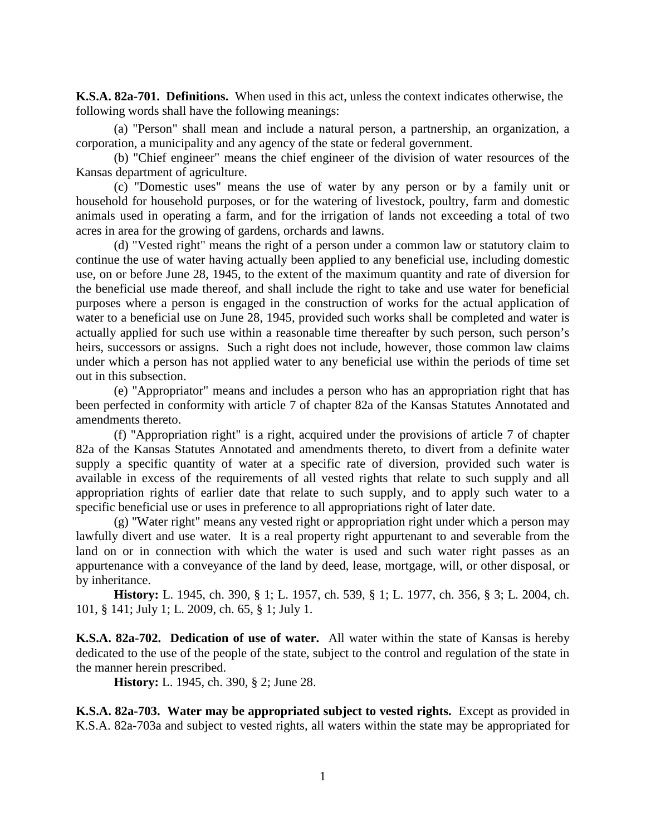<span id="page-3-0"></span>**K.S.A. 82a-701. Definitions.** When used in this act, unless the context indicates otherwise, the following words shall have the following meanings:

(a) "Person" shall mean and include a natural person, a partnership, an organization, a corporation, a municipality and any agency of the state or federal government.

(b) "Chief engineer" means the chief engineer of the division of water resources of the Kansas department of agriculture.

(c) "Domestic uses" means the use of water by any person or by a family unit or household for household purposes, or for the watering of livestock, poultry, farm and domestic animals used in operating a farm, and for the irrigation of lands not exceeding a total of two acres in area for the growing of gardens, orchards and lawns.

(d) "Vested right" means the right of a person under a common law or statutory claim to continue the use of water having actually been applied to any beneficial use, including domestic use, on or before June 28, 1945, to the extent of the maximum quantity and rate of diversion for the beneficial use made thereof, and shall include the right to take and use water for beneficial purposes where a person is engaged in the construction of works for the actual application of water to a beneficial use on June 28, 1945, provided such works shall be completed and water is actually applied for such use within a reasonable time thereafter by such person, such person's heirs, successors or assigns. Such a right does not include, however, those common law claims under which a person has not applied water to any beneficial use within the periods of time set out in this subsection.

(e) "Appropriator" means and includes a person who has an appropriation right that has been perfected in conformity with article 7 of chapter 82a of the Kansas Statutes Annotated and amendments thereto.

(f) "Appropriation right" is a right, acquired under the provisions of article 7 of chapter 82a of the Kansas Statutes Annotated and amendments thereto, to divert from a definite water supply a specific quantity of water at a specific rate of diversion, provided such water is available in excess of the requirements of all vested rights that relate to such supply and all appropriation rights of earlier date that relate to such supply, and to apply such water to a specific beneficial use or uses in preference to all appropriations right of later date.

(g) "Water right" means any vested right or appropriation right under which a person may lawfully divert and use water. It is a real property right appurtenant to and severable from the land on or in connection with which the water is used and such water right passes as an appurtenance with a conveyance of the land by deed, lease, mortgage, will, or other disposal, or by inheritance.

**History:** L. 1945, ch. 390, § 1; L. 1957, ch. 539, § 1; L. 1977, ch. 356, § 3; L. 2004, ch. 101, § 141; July 1; L. 2009, ch. 65, § 1; July 1.

<span id="page-3-1"></span>**K.S.A. 82a-702. Dedication of use of water.** All water within the state of Kansas is hereby dedicated to the use of the people of the state, subject to the control and regulation of the state in the manner herein prescribed.

**History:** L. 1945, ch. 390, § 2; June 28.

<span id="page-3-2"></span>**K.S.A. 82a-703. Water may be appropriated subject to vested rights.** Except as provided in K.S.A. 82a-703a and subject to vested rights, all waters within the state may be appropriated for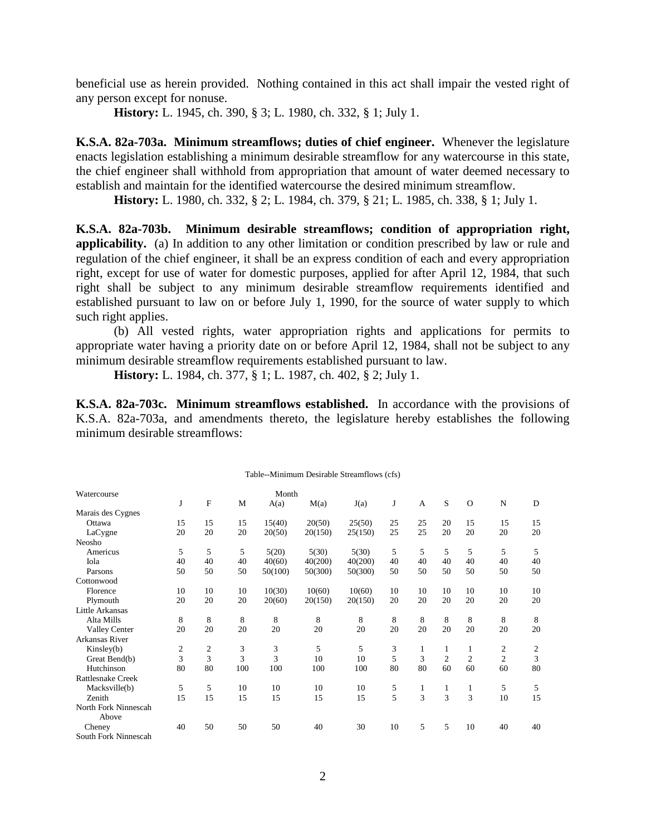beneficial use as herein provided. Nothing contained in this act shall impair the vested right of any person except for nonuse.

**History:** L. 1945, ch. 390, § 3; L. 1980, ch. 332, § 1; July 1.

<span id="page-4-0"></span>**K.S.A. 82a-703a. Minimum streamflows; duties of chief engineer.** Whenever the legislature enacts legislation establishing a minimum desirable streamflow for any watercourse in this state, the chief engineer shall withhold from appropriation that amount of water deemed necessary to establish and maintain for the identified watercourse the desired minimum streamflow.

**History:** L. 1980, ch. 332, § 2; L. 1984, ch. 379, § 21; L. 1985, ch. 338, § 1; July 1.

<span id="page-4-1"></span>**K.S.A. 82a-703b. Minimum desirable streamflows; condition of appropriation right, applicability.** (a) In addition to any other limitation or condition prescribed by law or rule and regulation of the chief engineer, it shall be an express condition of each and every appropriation right, except for use of water for domestic purposes, applied for after April 12, 1984, that such right shall be subject to any minimum desirable streamflow requirements identified and established pursuant to law on or before July 1, 1990, for the source of water supply to which such right applies.

(b) All vested rights, water appropriation rights and applications for permits to appropriate water having a priority date on or before April 12, 1984, shall not be subject to any minimum desirable streamflow requirements established pursuant to law.

**History:** L. 1984, ch. 377, § 1; L. 1987, ch. 402, § 2; July 1.

<span id="page-4-2"></span>**K.S.A. 82a-703c. Minimum streamflows established.** In accordance with the provisions of K.S.A. 82a-703a, and amendments thereto, the legislature hereby establishes the following minimum desirable streamflows:

Table--Minimum Desirable Streamflows (cfs)

|                          |    |              |     |         | Table--Millillium Desitable Streamhows (CIS) |         |    |              |                |                |                |    |
|--------------------------|----|--------------|-----|---------|----------------------------------------------|---------|----|--------------|----------------|----------------|----------------|----|
| Watercourse              |    |              |     | Month   |                                              |         |    |              |                |                |                |    |
|                          | J  | $\mathbf F$  | M   | A(a)    | M(a)                                         | J(a)    | J  | $\mathbf{A}$ | S              | $\Omega$       | N              | D  |
| Marais des Cygnes        |    |              |     |         |                                              |         |    |              |                |                |                |    |
| Ottawa                   | 15 | 15           | 15  | 15(40)  | 20(50)                                       | 25(50)  | 25 | 25           | 20             | 15             | 15             | 15 |
| LaCygne                  | 20 | 20           | 20  | 20(50)  | 20(150)                                      | 25(150) | 25 | 25           | 20             | 20             | 20             | 20 |
| Neosho                   |    |              |     |         |                                              |         |    |              |                |                |                |    |
| Americus                 | 5  | 5            | 5   | 5(20)   | 5(30)                                        | 5(30)   | 5  | 5            | 5              | 5              | 5              | 5  |
| Iola                     | 40 | 40           | 40  | 40(60)  | 40(200)                                      | 40(200) | 40 | 40           | 40             | 40             | 40             | 40 |
| Parsons                  | 50 | 50           | 50  | 50(100) | 50(300)                                      | 50(300) | 50 | 50           | 50             | 50             | 50             | 50 |
| Cottonwood               |    |              |     |         |                                              |         |    |              |                |                |                |    |
| Florence                 | 10 | 10           | 10  | 10(30)  | 10(60)                                       | 10(60)  | 10 | 10           | 10             | 10             | 10             | 10 |
| Plymouth                 | 20 | 20           | 20  | 20(60)  | 20(150)                                      | 20(150) | 20 | 20           | 20             | 20             | 20             | 20 |
| <b>Little Arkansas</b>   |    |              |     |         |                                              |         |    |              |                |                |                |    |
| Alta Mills               | 8  | 8            | 8   | 8       | 8                                            | 8       | 8  | 8            | 8              | 8              | 8              | 8  |
| Valley Center            | 20 | 20           | 20  | 20      | 20                                           | 20      | 20 | 20           | 20             | 20             | 20             | 20 |
| Arkansas River           |    |              |     |         |                                              |         |    |              |                |                |                |    |
| Kinsley(b)               | 2  | $\mathbf{2}$ | 3   | 3       | 5                                            | 5       | 3  | 1            | 1              | 1              | $\overline{2}$ | 2  |
| Great Bend(b)            | 3  | 3            | 3   | 3       | 10                                           | 10      | 5  | 3            | $\overline{2}$ | $\overline{2}$ | $\overline{2}$ | 3  |
| Hutchinson               | 80 | 80           | 100 | 100     | 100                                          | 100     | 80 | 80           | 60             | 60             | 60             | 80 |
| <b>Rattlesnake Creek</b> |    |              |     |         |                                              |         |    |              |                |                |                |    |
| Macksville(b)            | 5  | 5            | 10  | 10      | 10                                           | 10      | 5  | 1            | 1              | $\mathbf{1}$   | 5              | 5  |
| <b>Zenith</b>            | 15 | 15           | 15  | 15      | 15                                           | 15      | 5  | 3            | 3              | 3              | 10             | 15 |
| North Fork Ninnescah     |    |              |     |         |                                              |         |    |              |                |                |                |    |
| Above                    |    |              |     |         |                                              |         |    |              |                |                |                |    |
| Cheney                   | 40 | 50           | 50  | 50      | 40                                           | 30      | 10 | 5            | 5              | 10             | 40             | 40 |
| South Fork Ninnescah     |    |              |     |         |                                              |         |    |              |                |                |                |    |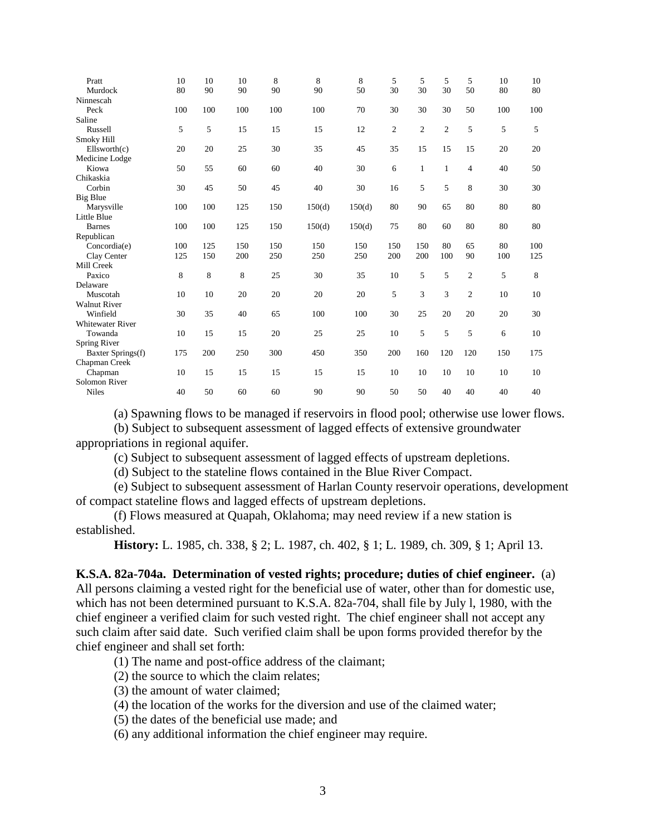| Pratt                   | 10  | 10  | 10  | 8   | 8      | 8      | 5              | 5              | 5              | 5            | 10  | 10  |
|-------------------------|-----|-----|-----|-----|--------|--------|----------------|----------------|----------------|--------------|-----|-----|
| Murdock                 | 80  | 90  | 90  | 90  | 90     | 50     | 30             | 30             | 30             | 50           | 80  | 80  |
| Ninnescah               |     |     |     |     |        |        |                |                |                |              |     |     |
| Peck                    | 100 | 100 | 100 | 100 | 100    | 70     | 30             | 30             | 30             | 50           | 100 | 100 |
| Saline                  |     |     |     |     |        |        |                |                |                |              |     |     |
| Russell                 | 5   | 5   | 15  | 15  | 15     | 12     | $\overline{2}$ | $\overline{c}$ | $\overline{c}$ | 5            | 5   | 5   |
| Smoky Hill              |     |     |     |     |        |        |                |                |                |              |     |     |
| Ellsworth(c)            | 20  | 20  | 25  | 30  | 35     | 45     | 35             | 15             | 15             | 15           | 20  | 20  |
| Medicine Lodge          |     |     |     |     |        |        |                |                |                |              |     |     |
| Kiowa                   | 50  | 55  | 60  | 60  | 40     | 30     | 6              | 1              | 1              | 4            | 40  | 50  |
| Chikaskia               |     |     |     |     |        |        |                |                |                |              |     |     |
| Corbin                  | 30  | 45  | 50  | 45  | 40     | 30     | 16             | 5              | 5              | 8            | 30  | 30  |
| <b>Big Blue</b>         |     |     |     |     |        |        |                |                |                |              |     |     |
| Marysville              | 100 | 100 | 125 | 150 | 150(d) | 150(d) | 80             | 90             | 65             | 80           | 80  | 80  |
| Little Blue             |     |     |     |     |        |        |                |                |                |              |     |     |
| <b>Barnes</b>           | 100 | 100 | 125 | 150 | 150(d) | 150(d) | 75             | 80             | 60             | 80           | 80  | 80  |
| Republican              |     |     |     |     |        |        |                |                |                |              |     |     |
| Concordia(e)            | 100 | 125 | 150 | 150 | 150    | 150    | 150            | 150            | 80             | 65           | 80  | 100 |
| Clay Center             | 125 | 150 | 200 | 250 | 250    | 250    | 200            | 200            | 100            | 90           | 100 | 125 |
| Mill Creek              |     |     |     |     |        |        |                |                |                |              |     |     |
| Paxico                  | 8   | 8   | 8   | 25  | 30     | 35     | 10             | 5              | 5              | $\mathbf{2}$ | 5   | 8   |
| Delaware                |     |     |     |     |        |        |                |                |                |              |     |     |
| Muscotah                | 10  | 10  | 20  | 20  | 20     | 20     | 5              | 3              | 3              | $\mathbf{2}$ | 10  | 10  |
| <b>Walnut River</b>     |     |     |     |     |        |        |                |                |                |              |     |     |
| Winfield                | 30  | 35  | 40  | 65  | 100    | 100    | 30             | 25             | 20             | 20           | 20  | 30  |
| <b>Whitewater River</b> |     |     |     |     |        |        |                |                |                |              |     |     |
| Towanda                 | 10  | 15  | 15  | 20  | 25     | 25     | 10             | 5              | 5              | 5            | 6   | 10  |
| Spring River            |     |     |     |     |        |        |                |                |                |              |     |     |
| Baxter Springs(f)       | 175 | 200 | 250 | 300 | 450    | 350    | 200            | 160            | 120            | 120          | 150 | 175 |
| Chapman Creek           |     |     |     |     |        |        |                |                |                |              |     |     |
| Chapman                 | 10  | 15  | 15  | 15  | 15     | 15     | 10             | 10             | 10             | 10           | 10  | 10  |
| <b>Solomon River</b>    |     |     |     |     |        |        |                |                |                |              |     |     |
| <b>Niles</b>            | 40  | 50  | 60  | 60  | 90     | 90     | 50             | 50             | 40             | 40           | 40  | 40  |

(a) Spawning flows to be managed if reservoirs in flood pool; otherwise use lower flows.

(b) Subject to subsequent assessment of lagged effects of extensive groundwater

appropriations in regional aquifer.

(c) Subject to subsequent assessment of lagged effects of upstream depletions.

(d) Subject to the stateline flows contained in the Blue River Compact.

(e) Subject to subsequent assessment of Harlan County reservoir operations, development of compact stateline flows and lagged effects of upstream depletions.

(f) Flows measured at Quapah, Oklahoma; may need review if a new station is established.

**History:** L. 1985, ch. 338, § 2; L. 1987, ch. 402, § 1; L. 1989, ch. 309, § 1; April 13.

<span id="page-5-0"></span>**K.S.A. 82a-704a. Determination of vested rights; procedure; duties of chief engineer.** (a) All persons claiming a vested right for the beneficial use of water, other than for domestic use, which has not been determined pursuant to K.S.A. 82a-704, shall file by July l, 1980, with the chief engineer a verified claim for such vested right. The chief engineer shall not accept any such claim after said date. Such verified claim shall be upon forms provided therefor by the chief engineer and shall set forth:

(1) The name and post-office address of the claimant;

(2) the source to which the claim relates;

(3) the amount of water claimed;

(4) the location of the works for the diversion and use of the claimed water;

(5) the dates of the beneficial use made; and

(6) any additional information the chief engineer may require.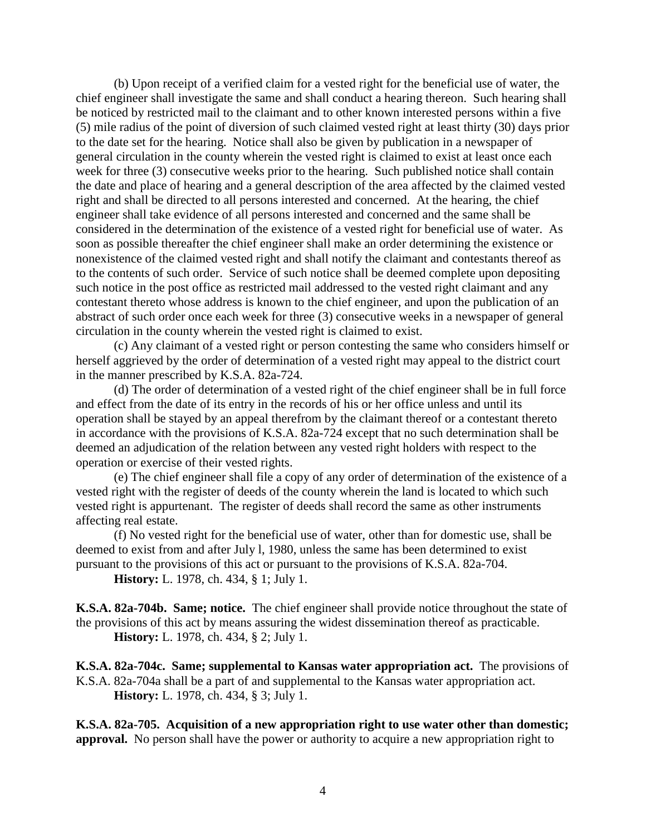(b) Upon receipt of a verified claim for a vested right for the beneficial use of water, the chief engineer shall investigate the same and shall conduct a hearing thereon. Such hearing shall be noticed by restricted mail to the claimant and to other known interested persons within a five (5) mile radius of the point of diversion of such claimed vested right at least thirty (30) days prior to the date set for the hearing. Notice shall also be given by publication in a newspaper of general circulation in the county wherein the vested right is claimed to exist at least once each week for three (3) consecutive weeks prior to the hearing. Such published notice shall contain the date and place of hearing and a general description of the area affected by the claimed vested right and shall be directed to all persons interested and concerned. At the hearing, the chief engineer shall take evidence of all persons interested and concerned and the same shall be considered in the determination of the existence of a vested right for beneficial use of water. As soon as possible thereafter the chief engineer shall make an order determining the existence or nonexistence of the claimed vested right and shall notify the claimant and contestants thereof as to the contents of such order. Service of such notice shall be deemed complete upon depositing such notice in the post office as restricted mail addressed to the vested right claimant and any contestant thereto whose address is known to the chief engineer, and upon the publication of an abstract of such order once each week for three (3) consecutive weeks in a newspaper of general circulation in the county wherein the vested right is claimed to exist.

(c) Any claimant of a vested right or person contesting the same who considers himself or herself aggrieved by the order of determination of a vested right may appeal to the district court in the manner prescribed by K.S.A. 82a-724.

(d) The order of determination of a vested right of the chief engineer shall be in full force and effect from the date of its entry in the records of his or her office unless and until its operation shall be stayed by an appeal therefrom by the claimant thereof or a contestant thereto in accordance with the provisions of K.S.A. 82a-724 except that no such determination shall be deemed an adjudication of the relation between any vested right holders with respect to the operation or exercise of their vested rights.

(e) The chief engineer shall file a copy of any order of determination of the existence of a vested right with the register of deeds of the county wherein the land is located to which such vested right is appurtenant. The register of deeds shall record the same as other instruments affecting real estate.

(f) No vested right for the beneficial use of water, other than for domestic use, shall be deemed to exist from and after July l, 1980, unless the same has been determined to exist pursuant to the provisions of this act or pursuant to the provisions of K.S.A. 82a-704.

**History:** L. 1978, ch. 434, § 1; July 1.

<span id="page-6-0"></span>**K.S.A. 82a-704b. Same; notice.** The chief engineer shall provide notice throughout the state of the provisions of this act by means assuring the widest dissemination thereof as practicable. **History:** L. 1978, ch. 434, § 2; July 1.

<span id="page-6-1"></span>**K.S.A. 82a-704c. Same; supplemental to Kansas water appropriation act.** The provisions of K.S.A. 82a-704a shall be a part of and supplemental to the Kansas water appropriation act. **History:** L. 1978, ch. 434, § 3; July 1.

<span id="page-6-2"></span>**K.S.A. 82a-705. Acquisition of a new appropriation right to use water other than domestic; approval.** No person shall have the power or authority to acquire a new appropriation right to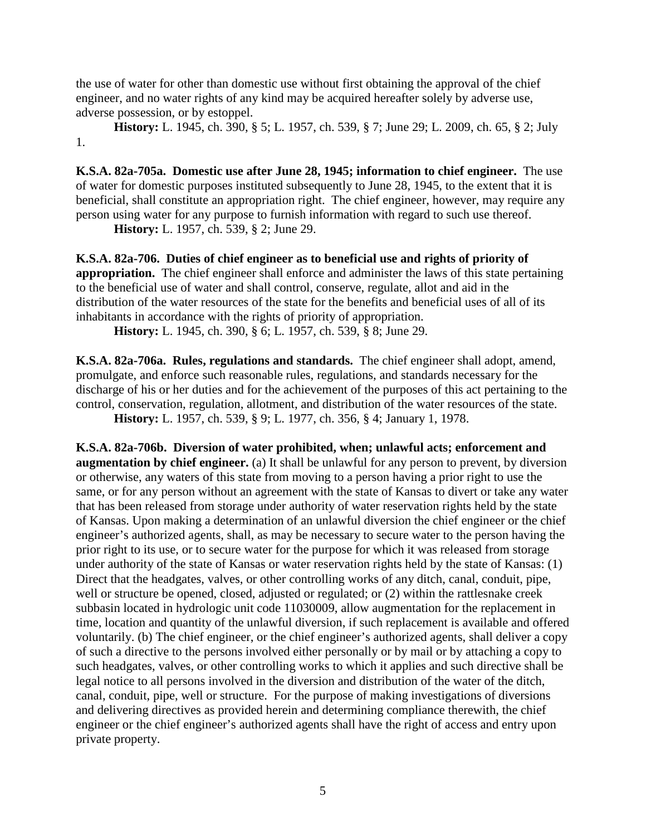the use of water for other than domestic use without first obtaining the approval of the chief engineer, and no water rights of any kind may be acquired hereafter solely by adverse use, adverse possession, or by estoppel.

**History:** L. 1945, ch. 390, § 5; L. 1957, ch. 539, § 7; June 29; L. 2009, ch. 65, § 2; July 1.

<span id="page-7-0"></span>**K.S.A. 82a-705a. Domestic use after June 28, 1945; information to chief engineer.** The use of water for domestic purposes instituted subsequently to June 28, 1945, to the extent that it is beneficial, shall constitute an appropriation right. The chief engineer, however, may require any person using water for any purpose to furnish information with regard to such use thereof.

**History:** L. 1957, ch. 539, § 2; June 29.

<span id="page-7-1"></span>**K.S.A. 82a-706. Duties of chief engineer as to beneficial use and rights of priority of appropriation.** The chief engineer shall enforce and administer the laws of this state pertaining to the beneficial use of water and shall control, conserve, regulate, allot and aid in the distribution of the water resources of the state for the benefits and beneficial uses of all of its inhabitants in accordance with the rights of priority of appropriation.

**History:** L. 1945, ch. 390, § 6; L. 1957, ch. 539, § 8; June 29.

<span id="page-7-2"></span>**K.S.A. 82a-706a. Rules, regulations and standards.** The chief engineer shall adopt, amend, promulgate, and enforce such reasonable rules, regulations, and standards necessary for the discharge of his or her duties and for the achievement of the purposes of this act pertaining to the control, conservation, regulation, allotment, and distribution of the water resources of the state. **History:** L. 1957, ch. 539, § 9; L. 1977, ch. 356, § 4; January 1, 1978.

<span id="page-7-3"></span>**K.S.A. 82a-706b. Diversion of water prohibited, when; unlawful acts; enforcement and augmentation by chief engineer.** (a) It shall be unlawful for any person to prevent, by diversion or otherwise, any waters of this state from moving to a person having a prior right to use the same, or for any person without an agreement with the state of Kansas to divert or take any water that has been released from storage under authority of water reservation rights held by the state of Kansas. Upon making a determination of an unlawful diversion the chief engineer or the chief engineer's authorized agents, shall, as may be necessary to secure water to the person having the prior right to its use, or to secure water for the purpose for which it was released from storage under authority of the state of Kansas or water reservation rights held by the state of Kansas: (1) Direct that the headgates, valves, or other controlling works of any ditch, canal, conduit, pipe, well or structure be opened, closed, adjusted or regulated; or (2) within the rattlesnake creek subbasin located in hydrologic unit code 11030009, allow augmentation for the replacement in time, location and quantity of the unlawful diversion, if such replacement is available and offered voluntarily. (b) The chief engineer, or the chief engineer's authorized agents, shall deliver a copy of such a directive to the persons involved either personally or by mail or by attaching a copy to such headgates, valves, or other controlling works to which it applies and such directive shall be legal notice to all persons involved in the diversion and distribution of the water of the ditch, canal, conduit, pipe, well or structure. For the purpose of making investigations of diversions and delivering directives as provided herein and determining compliance therewith, the chief engineer or the chief engineer's authorized agents shall have the right of access and entry upon private property.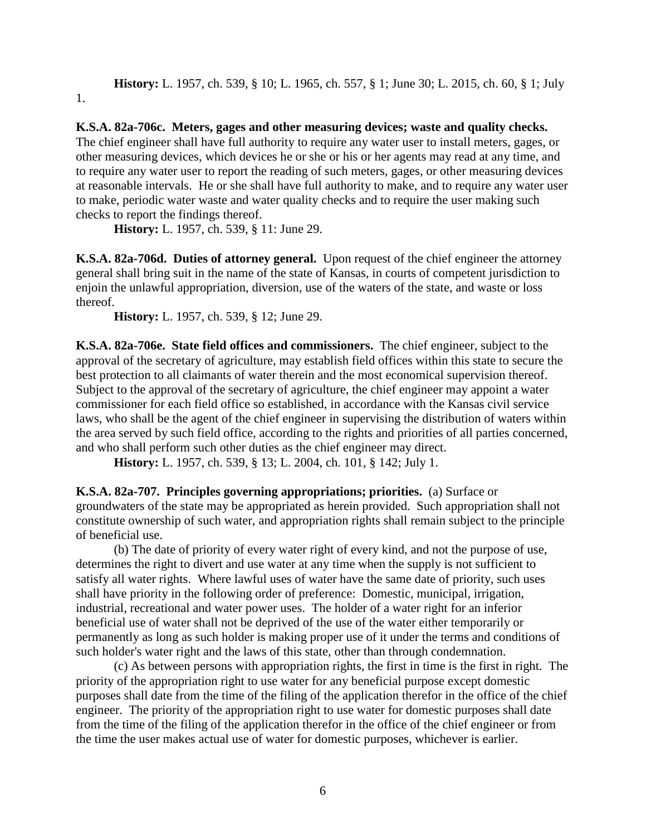**History:** L. 1957, ch. 539, § 10; L. 1965, ch. 557, § 1; June 30; L. 2015, ch. 60, § 1; July 1.

<span id="page-8-0"></span>**K.S.A. 82a-706c. Meters, gages and other measuring devices; waste and quality checks.** The chief engineer shall have full authority to require any water user to install meters, gages, or other measuring devices, which devices he or she or his or her agents may read at any time, and to require any water user to report the reading of such meters, gages, or other measuring devices at reasonable intervals. He or she shall have full authority to make, and to require any water user to make, periodic water waste and water quality checks and to require the user making such checks to report the findings thereof.

**History:** L. 1957, ch. 539, § 11: June 29.

<span id="page-8-1"></span>**K.S.A. 82a-706d. Duties of attorney general.** Upon request of the chief engineer the attorney general shall bring suit in the name of the state of Kansas, in courts of competent jurisdiction to enjoin the unlawful appropriation, diversion, use of the waters of the state, and waste or loss thereof.

**History:** L. 1957, ch. 539, § 12; June 29.

<span id="page-8-2"></span>**K.S.A. 82a-706e. State field offices and commissioners.** The chief engineer, subject to the approval of the secretary of agriculture, may establish field offices within this state to secure the best protection to all claimants of water therein and the most economical supervision thereof. Subject to the approval of the secretary of agriculture, the chief engineer may appoint a water commissioner for each field office so established, in accordance with the Kansas civil service laws, who shall be the agent of the chief engineer in supervising the distribution of waters within the area served by such field office, according to the rights and priorities of all parties concerned, and who shall perform such other duties as the chief engineer may direct.

**History:** L. 1957, ch. 539, § 13; L. 2004, ch. 101, § 142; July 1.

<span id="page-8-3"></span>**K.S.A. 82a-707. Principles governing appropriations; priorities.** (a) Surface or groundwaters of the state may be appropriated as herein provided. Such appropriation shall not constitute ownership of such water, and appropriation rights shall remain subject to the principle of beneficial use.

(b) The date of priority of every water right of every kind, and not the purpose of use, determines the right to divert and use water at any time when the supply is not sufficient to satisfy all water rights. Where lawful uses of water have the same date of priority, such uses shall have priority in the following order of preference: Domestic, municipal, irrigation, industrial, recreational and water power uses. The holder of a water right for an inferior beneficial use of water shall not be deprived of the use of the water either temporarily or permanently as long as such holder is making proper use of it under the terms and conditions of such holder's water right and the laws of this state, other than through condemnation.

(c) As between persons with appropriation rights, the first in time is the first in right. The priority of the appropriation right to use water for any beneficial purpose except domestic purposes shall date from the time of the filing of the application therefor in the office of the chief engineer. The priority of the appropriation right to use water for domestic purposes shall date from the time of the filing of the application therefor in the office of the chief engineer or from the time the user makes actual use of water for domestic purposes, whichever is earlier.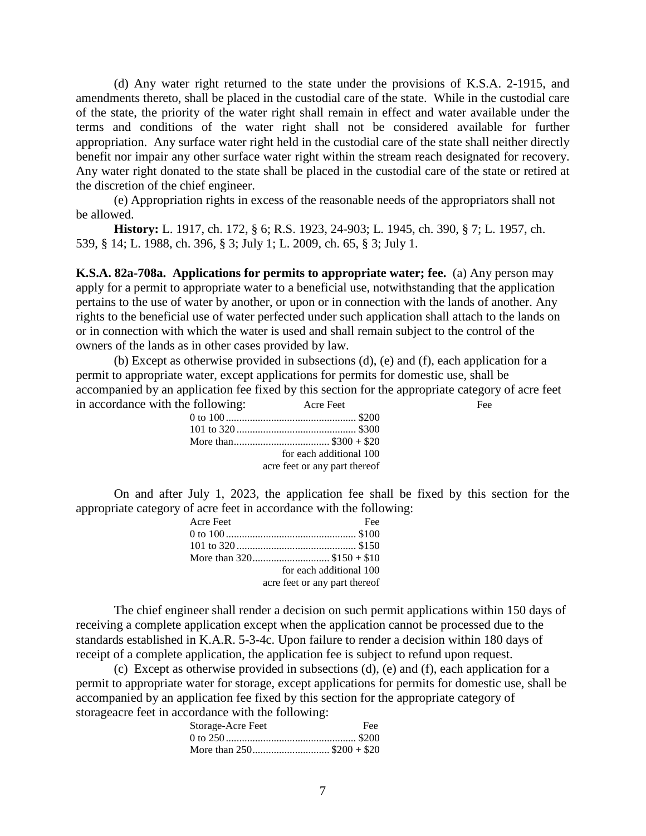(d) Any water right returned to the state under the provisions of K.S.A. 2-1915, and amendments thereto, shall be placed in the custodial care of the state. While in the custodial care of the state, the priority of the water right shall remain in effect and water available under the terms and conditions of the water right shall not be considered available for further appropriation. Any surface water right held in the custodial care of the state shall neither directly benefit nor impair any other surface water right within the stream reach designated for recovery. Any water right donated to the state shall be placed in the custodial care of the state or retired at the discretion of the chief engineer.

(e) Appropriation rights in excess of the reasonable needs of the appropriators shall not be allowed.

**History:** L. 1917, ch. 172, § 6; R.S. 1923, 24-903; L. 1945, ch. 390, § 7; L. 1957, ch. 539, § 14; L. 1988, ch. 396, § 3; July 1; L. 2009, ch. 65, § 3; July 1.

<span id="page-9-0"></span>**K.S.A. 82a-708a. Applications for permits to appropriate water; fee.** (a) Any person may apply for a permit to appropriate water to a beneficial use, notwithstanding that the application pertains to the use of water by another, or upon or in connection with the lands of another. Any rights to the beneficial use of water perfected under such application shall attach to the lands on or in connection with which the water is used and shall remain subject to the control of the owners of the lands as in other cases provided by law.

(b) Except as otherwise provided in subsections (d), (e) and (f), each application for a permit to appropriate water, except applications for permits for domestic use, shall be accompanied by an application fee fixed by this section for the appropriate category of acre feet in accordance with the following: Acre Feet Feet Fee

| for each additional 100       |
|-------------------------------|
| acre feet or any part thereof |

On and after July 1, 2023, the application fee shall be fixed by this section for the appropriate category of acre feet in accordance with the following:

| Acre Feet | Fee                           |
|-----------|-------------------------------|
|           |                               |
|           |                               |
|           |                               |
|           | for each additional 100       |
|           | acre feet or any part thereof |

The chief engineer shall render a decision on such permit applications within 150 days of receiving a complete application except when the application cannot be processed due to the standards established in K.A.R. 5-3-4c. Upon failure to render a decision within 180 days of receipt of a complete application, the application fee is subject to refund upon request.

(c) Except as otherwise provided in subsections (d), (e) and (f), each application for a permit to appropriate water for storage, except applications for permits for domestic use, shall be accompanied by an application fee fixed by this section for the appropriate category of storageacre feet in accordance with the following:

| Storage-Acre Feet | Fee |
|-------------------|-----|
|                   |     |
|                   |     |
|                   |     |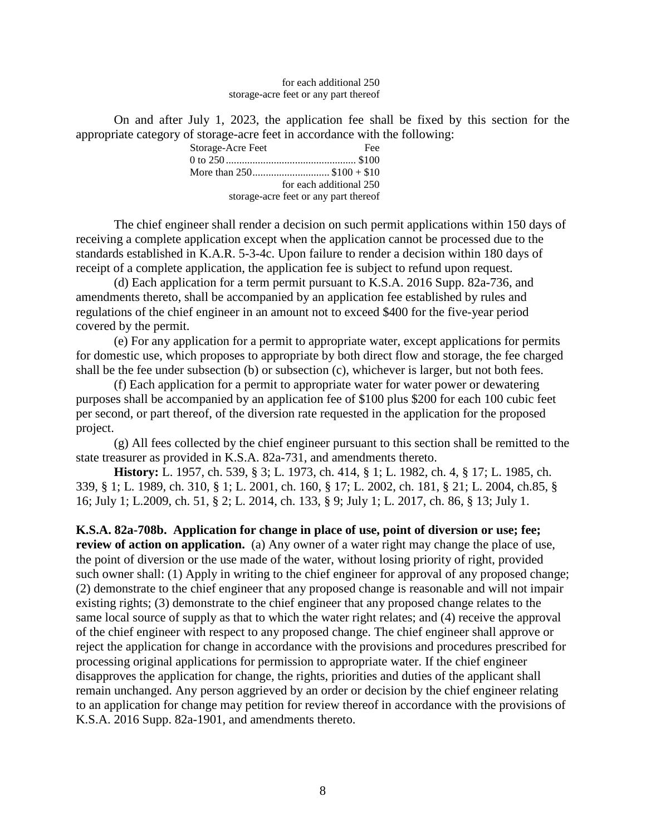for each additional 250 storage-acre feet or any part thereof

On and after July 1, 2023, the application fee shall be fixed by this section for the appropriate category of storage-acre feet in accordance with the following:

| Storage-Acre Feet                     | Fee                     |
|---------------------------------------|-------------------------|
|                                       |                         |
| More than $250$ \$100 + \$10          |                         |
|                                       | for each additional 250 |
| storage-acre feet or any part thereof |                         |

The chief engineer shall render a decision on such permit applications within 150 days of receiving a complete application except when the application cannot be processed due to the standards established in K.A.R. 5-3-4c. Upon failure to render a decision within 180 days of receipt of a complete application, the application fee is subject to refund upon request.

(d) Each application for a term permit pursuant to K.S.A. 2016 Supp. 82a-736, and amendments thereto, shall be accompanied by an application fee established by rules and regulations of the chief engineer in an amount not to exceed \$400 for the five-year period covered by the permit.

(e) For any application for a permit to appropriate water, except applications for permits for domestic use, which proposes to appropriate by both direct flow and storage, the fee charged shall be the fee under subsection (b) or subsection (c), whichever is larger, but not both fees.

(f) Each application for a permit to appropriate water for water power or dewatering purposes shall be accompanied by an application fee of \$100 plus \$200 for each 100 cubic feet per second, or part thereof, of the diversion rate requested in the application for the proposed project.

(g) All fees collected by the chief engineer pursuant to this section shall be remitted to the state treasurer as provided in K.S.A. 82a-731, and amendments thereto.

**History:** L. 1957, ch. 539, § 3; L. 1973, ch. 414, § 1; L. 1982, ch. 4, § 17; L. 1985, ch. 339, § 1; L. 1989, ch. 310, § 1; L. 2001, ch. 160, § 17; L. 2002, ch. 181, § 21; L. 2004, ch.85, § 16; July 1; L.2009, ch. 51, § 2; L. 2014, ch. 133, § 9; July 1; L. 2017, ch. 86, § 13; July 1.

<span id="page-10-0"></span>**K.S.A. 82a-708b. Application for change in place of use, point of diversion or use; fee; review of action on application.** (a) Any owner of a water right may change the place of use, the point of diversion or the use made of the water, without losing priority of right, provided such owner shall: (1) Apply in writing to the chief engineer for approval of any proposed change; (2) demonstrate to the chief engineer that any proposed change is reasonable and will not impair existing rights; (3) demonstrate to the chief engineer that any proposed change relates to the same local source of supply as that to which the water right relates; and (4) receive the approval of the chief engineer with respect to any proposed change. The chief engineer shall approve or reject the application for change in accordance with the provisions and procedures prescribed for processing original applications for permission to appropriate water. If the chief engineer disapproves the application for change, the rights, priorities and duties of the applicant shall remain unchanged. Any person aggrieved by an order or decision by the chief engineer relating to an application for change may petition for review thereof in accordance with the provisions of K.S.A. 2016 Supp. 82a-1901, and amendments thereto.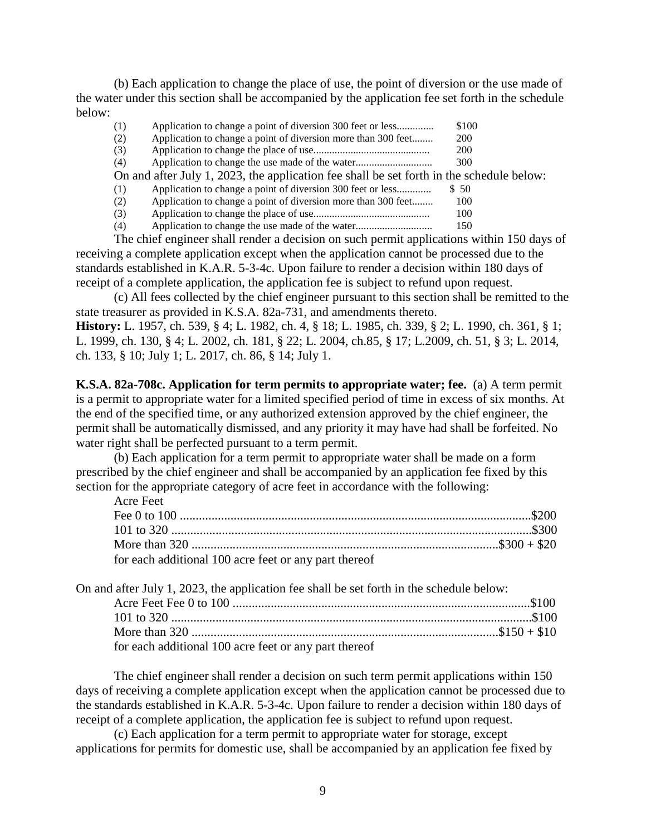(b) Each application to change the place of use, the point of diversion or the use made of the water under this section shall be accompanied by the application fee set forth in the schedule below:

| (1) | Application to change a point of diversion 300 feet or less                              | \$100      |
|-----|------------------------------------------------------------------------------------------|------------|
| (2) | Application to change a point of diversion more than 300 feet                            | <b>200</b> |
| (3) |                                                                                          | 200        |
| (4) |                                                                                          | 300        |
|     | On and after July 1, 2023, the application fee shall be set forth in the schedule below: |            |
| (1) | Application to change a point of diversion 300 feet or less                              | \$ 50      |
| (2) | Application to change a point of diversion more than 300 feet                            | 100        |
| (3) |                                                                                          | 100        |

(4) Application to change the use made of the water............................. 150

The chief engineer shall render a decision on such permit applications within 150 days of receiving a complete application except when the application cannot be processed due to the standards established in K.A.R. 5-3-4c. Upon failure to render a decision within 180 days of receipt of a complete application, the application fee is subject to refund upon request.

(c) All fees collected by the chief engineer pursuant to this section shall be remitted to the state treasurer as provided in K.S.A. 82a-731, and amendments thereto. **History:** L. 1957, ch. 539, § 4; L. 1982, ch. 4, § 18; L. 1985, ch. 339, § 2; L. 1990, ch. 361, § 1;

L. 1999, ch. 130, § 4; L. 2002, ch. 181, § 22; L. 2004, ch.85, § 17; L.2009, ch. 51, § 3; L. 2014, ch. 133, § 10; July 1; L. 2017, ch. 86, § 14; July 1.

<span id="page-11-0"></span>**K.S.A. 82a-708c. Application for term permits to appropriate water; fee.** (a) A term permit is a permit to appropriate water for a limited specified period of time in excess of six months. At the end of the specified time, or any authorized extension approved by the chief engineer, the permit shall be automatically dismissed, and any priority it may have had shall be forfeited. No water right shall be perfected pursuant to a term permit.

(b) Each application for a term permit to appropriate water shall be made on a form prescribed by the chief engineer and shall be accompanied by an application fee fixed by this section for the appropriate category of acre feet in accordance with the following: Acre Feet

| 1 101 U 1 U U 1                                       |  |
|-------------------------------------------------------|--|
|                                                       |  |
|                                                       |  |
|                                                       |  |
| for each additional 100 acre feet or any part thereof |  |

| On and after July 1, 2023, the application fee shall be set forth in the schedule below: |  |
|------------------------------------------------------------------------------------------|--|
|                                                                                          |  |
|                                                                                          |  |
|                                                                                          |  |
| for each additional 100 acre feet or any part thereof                                    |  |

The chief engineer shall render a decision on such term permit applications within 150 days of receiving a complete application except when the application cannot be processed due to the standards established in K.A.R. 5-3-4c. Upon failure to render a decision within 180 days of receipt of a complete application, the application fee is subject to refund upon request.

(c) Each application for a term permit to appropriate water for storage, except applications for permits for domestic use, shall be accompanied by an application fee fixed by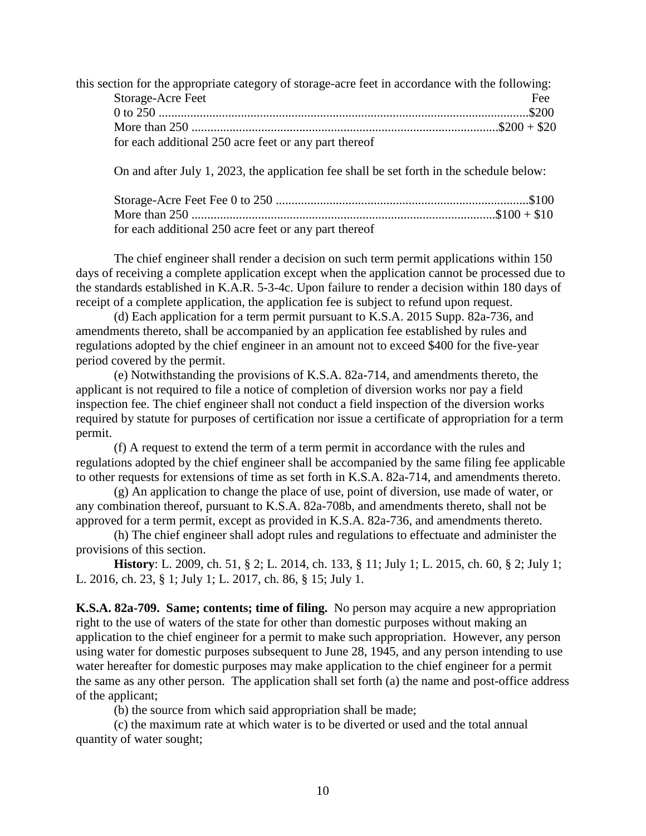this section for the appropriate category of storage-acre feet in accordance with the following: Storage-Acre Feet Feet Fee 0 to 250 .....................................................................................................................\$200 More than 250 .................................................................................................\$200 + \$20 for each additional 250 acre feet or any part thereof

On and after July 1, 2023, the application fee shall be set forth in the schedule below:

| for each additional 250 acre feet or any part thereof |  |
|-------------------------------------------------------|--|

The chief engineer shall render a decision on such term permit applications within 150 days of receiving a complete application except when the application cannot be processed due to the standards established in K.A.R. 5-3-4c. Upon failure to render a decision within 180 days of receipt of a complete application, the application fee is subject to refund upon request.

(d) Each application for a term permit pursuant to K.S.A. 2015 Supp. 82a-736, and amendments thereto, shall be accompanied by an application fee established by rules and regulations adopted by the chief engineer in an amount not to exceed \$400 for the five-year period covered by the permit.

(e) Notwithstanding the provisions of K.S.A. 82a-714, and amendments thereto, the applicant is not required to file a notice of completion of diversion works nor pay a field inspection fee. The chief engineer shall not conduct a field inspection of the diversion works required by statute for purposes of certification nor issue a certificate of appropriation for a term permit.

(f) A request to extend the term of a term permit in accordance with the rules and regulations adopted by the chief engineer shall be accompanied by the same filing fee applicable to other requests for extensions of time as set forth in K.S.A. 82a-714, and amendments thereto.

(g) An application to change the place of use, point of diversion, use made of water, or any combination thereof, pursuant to K.S.A. 82a-708b, and amendments thereto, shall not be approved for a term permit, except as provided in K.S.A. 82a-736, and amendments thereto.

(h) The chief engineer shall adopt rules and regulations to effectuate and administer the provisions of this section.

**History**: L. 2009, ch. 51, § 2; L. 2014, ch. 133, § 11; July 1; L. 2015, ch. 60, § 2; July 1; L. 2016, ch. 23, § 1; July 1; L. 2017, ch. 86, § 15; July 1.

<span id="page-12-0"></span>**K.S.A. 82a-709. Same; contents; time of filing.** No person may acquire a new appropriation right to the use of waters of the state for other than domestic purposes without making an application to the chief engineer for a permit to make such appropriation. However, any person using water for domestic purposes subsequent to June 28, 1945, and any person intending to use water hereafter for domestic purposes may make application to the chief engineer for a permit the same as any other person. The application shall set forth (a) the name and post-office address of the applicant;

(b) the source from which said appropriation shall be made;

(c) the maximum rate at which water is to be diverted or used and the total annual quantity of water sought;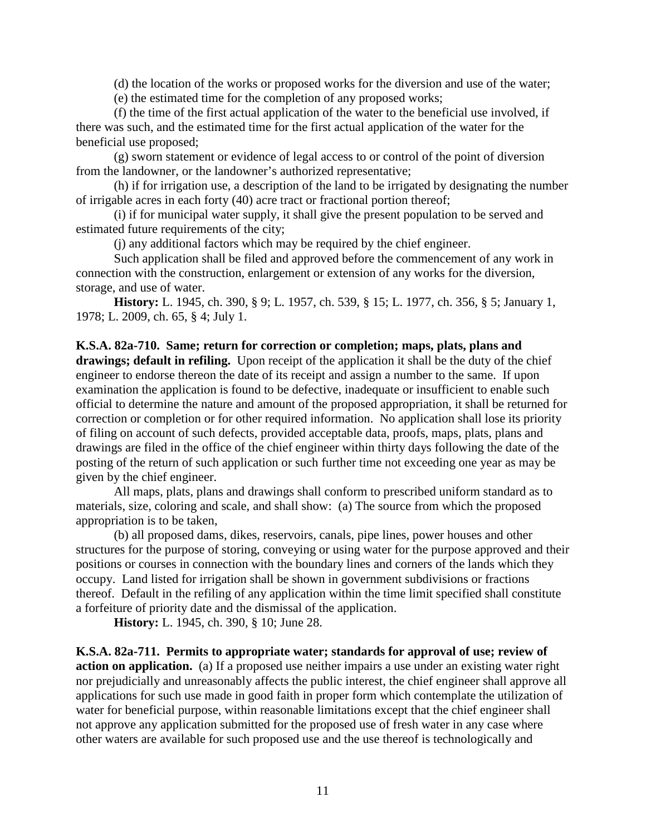(d) the location of the works or proposed works for the diversion and use of the water;

(e) the estimated time for the completion of any proposed works;

(f) the time of the first actual application of the water to the beneficial use involved, if there was such, and the estimated time for the first actual application of the water for the beneficial use proposed;

(g) sworn statement or evidence of legal access to or control of the point of diversion from the landowner, or the landowner's authorized representative;

(h) if for irrigation use, a description of the land to be irrigated by designating the number of irrigable acres in each forty (40) acre tract or fractional portion thereof;

(i) if for municipal water supply, it shall give the present population to be served and estimated future requirements of the city;

(j) any additional factors which may be required by the chief engineer.

Such application shall be filed and approved before the commencement of any work in connection with the construction, enlargement or extension of any works for the diversion, storage, and use of water.

**History:** L. 1945, ch. 390, § 9; L. 1957, ch. 539, § 15; L. 1977, ch. 356, § 5; January 1, 1978; L. 2009, ch. 65, § 4; July 1.

<span id="page-13-0"></span>**K.S.A. 82a-710. Same; return for correction or completion; maps, plats, plans and drawings; default in refiling.** Upon receipt of the application it shall be the duty of the chief engineer to endorse thereon the date of its receipt and assign a number to the same. If upon examination the application is found to be defective, inadequate or insufficient to enable such official to determine the nature and amount of the proposed appropriation, it shall be returned for correction or completion or for other required information. No application shall lose its priority of filing on account of such defects, provided acceptable data, proofs, maps, plats, plans and drawings are filed in the office of the chief engineer within thirty days following the date of the posting of the return of such application or such further time not exceeding one year as may be given by the chief engineer.

All maps, plats, plans and drawings shall conform to prescribed uniform standard as to materials, size, coloring and scale, and shall show: (a) The source from which the proposed appropriation is to be taken,

(b) all proposed dams, dikes, reservoirs, canals, pipe lines, power houses and other structures for the purpose of storing, conveying or using water for the purpose approved and their positions or courses in connection with the boundary lines and corners of the lands which they occupy. Land listed for irrigation shall be shown in government subdivisions or fractions thereof. Default in the refiling of any application within the time limit specified shall constitute a forfeiture of priority date and the dismissal of the application.

**History:** L. 1945, ch. 390, § 10; June 28.

<span id="page-13-1"></span>**K.S.A. 82a-711. Permits to appropriate water; standards for approval of use; review of action on application.** (a) If a proposed use neither impairs a use under an existing water right nor prejudicially and unreasonably affects the public interest, the chief engineer shall approve all applications for such use made in good faith in proper form which contemplate the utilization of water for beneficial purpose, within reasonable limitations except that the chief engineer shall not approve any application submitted for the proposed use of fresh water in any case where other waters are available for such proposed use and the use thereof is technologically and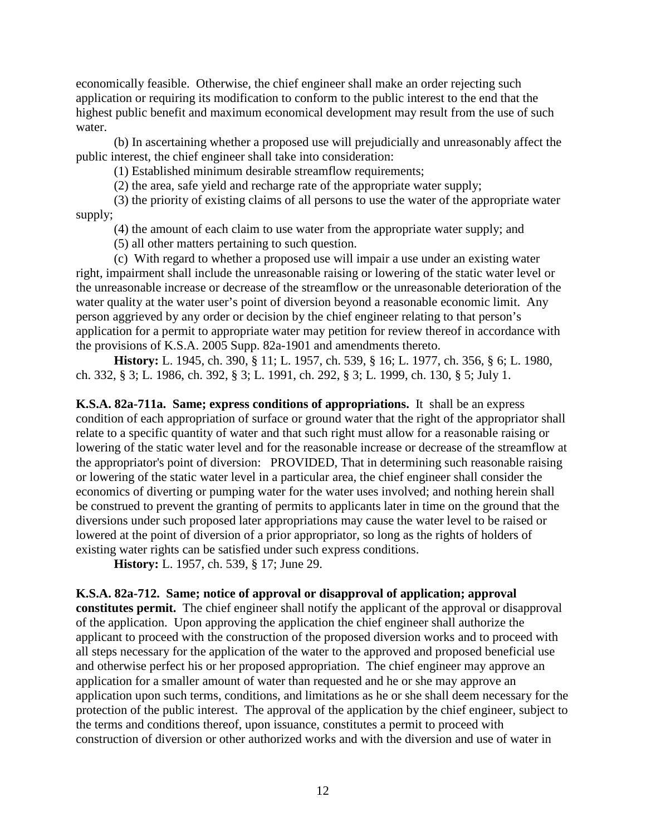economically feasible. Otherwise, the chief engineer shall make an order rejecting such application or requiring its modification to conform to the public interest to the end that the highest public benefit and maximum economical development may result from the use of such water.

(b) In ascertaining whether a proposed use will prejudicially and unreasonably affect the public interest, the chief engineer shall take into consideration:

(1) Established minimum desirable streamflow requirements;

(2) the area, safe yield and recharge rate of the appropriate water supply;

(3) the priority of existing claims of all persons to use the water of the appropriate water supply;

(4) the amount of each claim to use water from the appropriate water supply; and

(5) all other matters pertaining to such question.

(c) With regard to whether a proposed use will impair a use under an existing water right, impairment shall include the unreasonable raising or lowering of the static water level or the unreasonable increase or decrease of the streamflow or the unreasonable deterioration of the water quality at the water user's point of diversion beyond a reasonable economic limit. Any person aggrieved by any order or decision by the chief engineer relating to that person's application for a permit to appropriate water may petition for review thereof in accordance with the provisions of K.S.A. 2005 Supp. 82a-1901 and amendments thereto.

**History:** L. 1945, ch. 390, § 11; L. 1957, ch. 539, § 16; L. 1977, ch. 356, § 6; L. 1980, ch. 332, § 3; L. 1986, ch. 392, § 3; L. 1991, ch. 292, § 3; L. 1999, ch. 130, § 5; July 1.

<span id="page-14-0"></span>**K.S.A. 82a-711a. Same; express conditions of appropriations.** It shall be an express condition of each appropriation of surface or ground water that the right of the appropriator shall relate to a specific quantity of water and that such right must allow for a reasonable raising or lowering of the static water level and for the reasonable increase or decrease of the streamflow at the appropriator's point of diversion: PROVIDED, That in determining such reasonable raising or lowering of the static water level in a particular area, the chief engineer shall consider the economics of diverting or pumping water for the water uses involved; and nothing herein shall be construed to prevent the granting of permits to applicants later in time on the ground that the diversions under such proposed later appropriations may cause the water level to be raised or lowered at the point of diversion of a prior appropriator, so long as the rights of holders of existing water rights can be satisfied under such express conditions.

**History:** L. 1957, ch. 539, § 17; June 29.

<span id="page-14-1"></span>**K.S.A. 82a-712. Same; notice of approval or disapproval of application; approval** 

**constitutes permit.** The chief engineer shall notify the applicant of the approval or disapproval of the application. Upon approving the application the chief engineer shall authorize the applicant to proceed with the construction of the proposed diversion works and to proceed with all steps necessary for the application of the water to the approved and proposed beneficial use and otherwise perfect his or her proposed appropriation. The chief engineer may approve an application for a smaller amount of water than requested and he or she may approve an application upon such terms, conditions, and limitations as he or she shall deem necessary for the protection of the public interest. The approval of the application by the chief engineer, subject to the terms and conditions thereof, upon issuance, constitutes a permit to proceed with construction of diversion or other authorized works and with the diversion and use of water in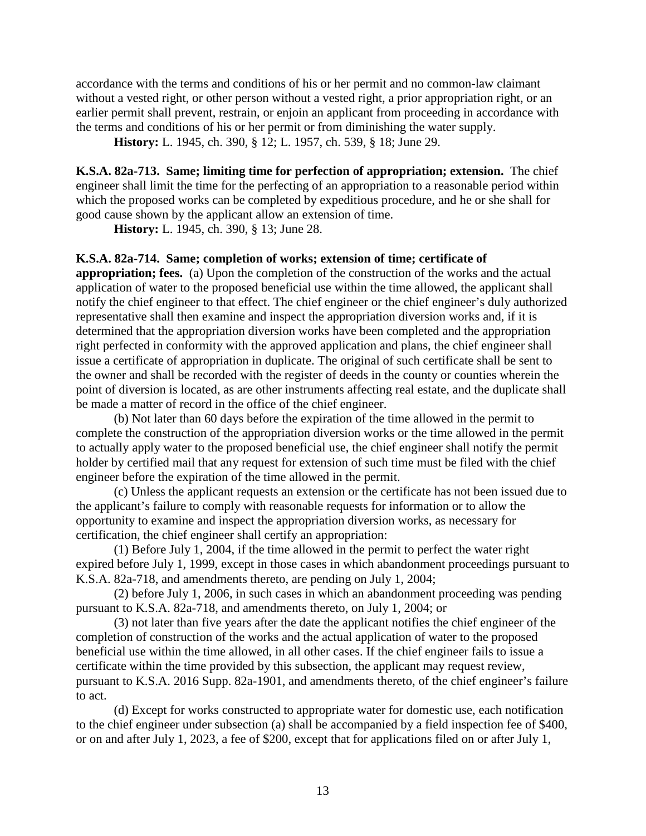accordance with the terms and conditions of his or her permit and no common-law claimant without a vested right, or other person without a vested right, a prior appropriation right, or an earlier permit shall prevent, restrain, or enjoin an applicant from proceeding in accordance with the terms and conditions of his or her permit or from diminishing the water supply.

**History:** L. 1945, ch. 390, § 12; L. 1957, ch. 539, § 18; June 29.

<span id="page-15-0"></span>**K.S.A. 82a-713. Same; limiting time for perfection of appropriation; extension.** The chief engineer shall limit the time for the perfecting of an appropriation to a reasonable period within which the proposed works can be completed by expeditious procedure, and he or she shall for good cause shown by the applicant allow an extension of time.

**History:** L. 1945, ch. 390, § 13; June 28.

### <span id="page-15-1"></span>**K.S.A. 82a-714. Same; completion of works; extension of time; certificate of**

**appropriation; fees.** (a) Upon the completion of the construction of the works and the actual application of water to the proposed beneficial use within the time allowed, the applicant shall notify the chief engineer to that effect. The chief engineer or the chief engineer's duly authorized representative shall then examine and inspect the appropriation diversion works and, if it is determined that the appropriation diversion works have been completed and the appropriation right perfected in conformity with the approved application and plans, the chief engineer shall issue a certificate of appropriation in duplicate. The original of such certificate shall be sent to the owner and shall be recorded with the register of deeds in the county or counties wherein the point of diversion is located, as are other instruments affecting real estate, and the duplicate shall be made a matter of record in the office of the chief engineer.

(b) Not later than 60 days before the expiration of the time allowed in the permit to complete the construction of the appropriation diversion works or the time allowed in the permit to actually apply water to the proposed beneficial use, the chief engineer shall notify the permit holder by certified mail that any request for extension of such time must be filed with the chief engineer before the expiration of the time allowed in the permit.

(c) Unless the applicant requests an extension or the certificate has not been issued due to the applicant's failure to comply with reasonable requests for information or to allow the opportunity to examine and inspect the appropriation diversion works, as necessary for certification, the chief engineer shall certify an appropriation:

(1) Before July 1, 2004, if the time allowed in the permit to perfect the water right expired before July 1, 1999, except in those cases in which abandonment proceedings pursuant to K.S.A. 82a-718, and amendments thereto, are pending on July 1, 2004;

(2) before July 1, 2006, in such cases in which an abandonment proceeding was pending pursuant to K.S.A. 82a-718, and amendments thereto, on July 1, 2004; or

(3) not later than five years after the date the applicant notifies the chief engineer of the completion of construction of the works and the actual application of water to the proposed beneficial use within the time allowed, in all other cases. If the chief engineer fails to issue a certificate within the time provided by this subsection, the applicant may request review, pursuant to K.S.A. 2016 Supp. 82a-1901, and amendments thereto, of the chief engineer's failure to act.

(d) Except for works constructed to appropriate water for domestic use, each notification to the chief engineer under subsection (a) shall be accompanied by a field inspection fee of \$400, or on and after July 1, 2023, a fee of \$200, except that for applications filed on or after July 1,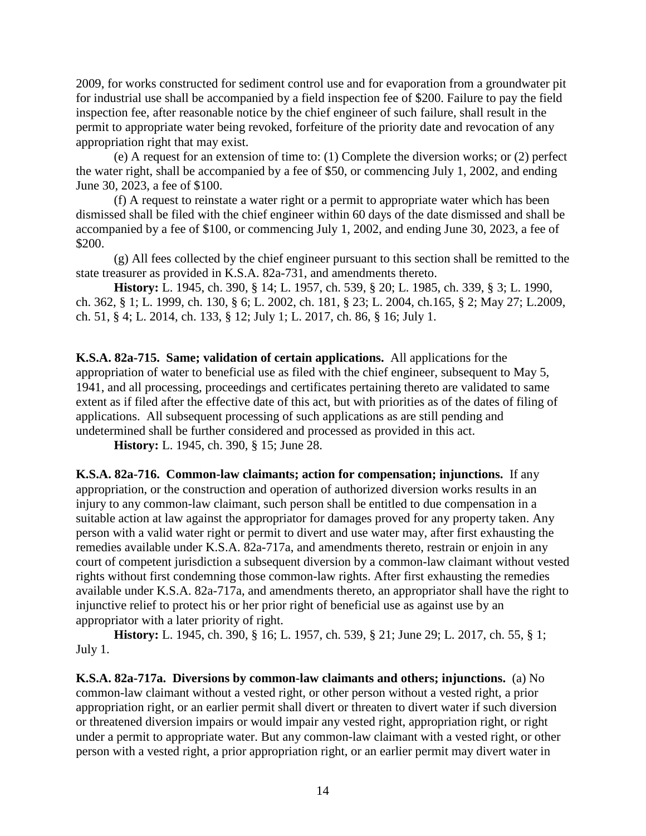2009, for works constructed for sediment control use and for evaporation from a groundwater pit for industrial use shall be accompanied by a field inspection fee of \$200. Failure to pay the field inspection fee, after reasonable notice by the chief engineer of such failure, shall result in the permit to appropriate water being revoked, forfeiture of the priority date and revocation of any appropriation right that may exist.

(e) A request for an extension of time to: (1) Complete the diversion works; or (2) perfect the water right, shall be accompanied by a fee of \$50, or commencing July 1, 2002, and ending June 30, 2023, a fee of \$100.

(f) A request to reinstate a water right or a permit to appropriate water which has been dismissed shall be filed with the chief engineer within 60 days of the date dismissed and shall be accompanied by a fee of \$100, or commencing July 1, 2002, and ending June 30, 2023, a fee of \$200.

(g) All fees collected by the chief engineer pursuant to this section shall be remitted to the state treasurer as provided in K.S.A. 82a-731, and amendments thereto.

**History:** L. 1945, ch. 390, § 14; L. 1957, ch. 539, § 20; L. 1985, ch. 339, § 3; L. 1990, ch. 362, § 1; L. 1999, ch. 130, § 6; L. 2002, ch. 181, § 23; L. 2004, ch.165, § 2; May 27; L.2009, ch. 51, § 4; L. 2014, ch. 133, § 12; July 1; L. 2017, ch. 86, § 16; July 1.

<span id="page-16-0"></span>**K.S.A. 82a-715. Same; validation of certain applications.** All applications for the appropriation of water to beneficial use as filed with the chief engineer, subsequent to May 5, 1941, and all processing, proceedings and certificates pertaining thereto are validated to same extent as if filed after the effective date of this act, but with priorities as of the dates of filing of applications. All subsequent processing of such applications as are still pending and undetermined shall be further considered and processed as provided in this act.

**History:** L. 1945, ch. 390, § 15; June 28.

<span id="page-16-1"></span>**K.S.A. 82a-716. Common-law claimants; action for compensation; injunctions.** If any appropriation, or the construction and operation of authorized diversion works results in an injury to any common-law claimant, such person shall be entitled to due compensation in a suitable action at law against the appropriator for damages proved for any property taken. Any person with a valid water right or permit to divert and use water may, after first exhausting the remedies available under K.S.A. 82a-717a, and amendments thereto, restrain or enjoin in any court of competent jurisdiction a subsequent diversion by a common-law claimant without vested rights without first condemning those common-law rights. After first exhausting the remedies available under K.S.A. 82a-717a, and amendments thereto, an appropriator shall have the right to injunctive relief to protect his or her prior right of beneficial use as against use by an appropriator with a later priority of right.

**History:** L. 1945, ch. 390, § 16; L. 1957, ch. 539, § 21; June 29; L. 2017, ch. 55, § 1; July 1.

<span id="page-16-2"></span>**K.S.A. 82a-717a. Diversions by common-law claimants and others; injunctions.** (a) No common-law claimant without a vested right, or other person without a vested right, a prior appropriation right, or an earlier permit shall divert or threaten to divert water if such diversion or threatened diversion impairs or would impair any vested right, appropriation right, or right under a permit to appropriate water. But any common-law claimant with a vested right, or other person with a vested right, a prior appropriation right, or an earlier permit may divert water in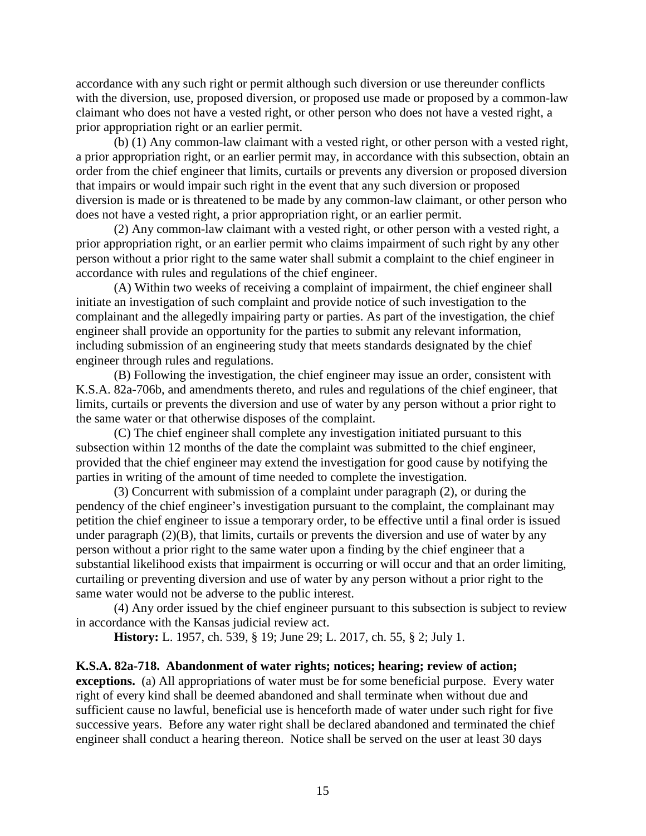accordance with any such right or permit although such diversion or use thereunder conflicts with the diversion, use, proposed diversion, or proposed use made or proposed by a common-law claimant who does not have a vested right, or other person who does not have a vested right, a prior appropriation right or an earlier permit.

(b) (1) Any common-law claimant with a vested right, or other person with a vested right, a prior appropriation right, or an earlier permit may, in accordance with this subsection, obtain an order from the chief engineer that limits, curtails or prevents any diversion or proposed diversion that impairs or would impair such right in the event that any such diversion or proposed diversion is made or is threatened to be made by any common-law claimant, or other person who does not have a vested right, a prior appropriation right, or an earlier permit.

(2) Any common-law claimant with a vested right, or other person with a vested right, a prior appropriation right, or an earlier permit who claims impairment of such right by any other person without a prior right to the same water shall submit a complaint to the chief engineer in accordance with rules and regulations of the chief engineer.

(A) Within two weeks of receiving a complaint of impairment, the chief engineer shall initiate an investigation of such complaint and provide notice of such investigation to the complainant and the allegedly impairing party or parties. As part of the investigation, the chief engineer shall provide an opportunity for the parties to submit any relevant information, including submission of an engineering study that meets standards designated by the chief engineer through rules and regulations.

(B) Following the investigation, the chief engineer may issue an order, consistent with K.S.A. 82a-706b, and amendments thereto, and rules and regulations of the chief engineer, that limits, curtails or prevents the diversion and use of water by any person without a prior right to the same water or that otherwise disposes of the complaint.

(C) The chief engineer shall complete any investigation initiated pursuant to this subsection within 12 months of the date the complaint was submitted to the chief engineer, provided that the chief engineer may extend the investigation for good cause by notifying the parties in writing of the amount of time needed to complete the investigation.

(3) Concurrent with submission of a complaint under paragraph (2), or during the pendency of the chief engineer's investigation pursuant to the complaint, the complainant may petition the chief engineer to issue a temporary order, to be effective until a final order is issued under paragraph  $(2)(B)$ , that limits, curtails or prevents the diversion and use of water by any person without a prior right to the same water upon a finding by the chief engineer that a substantial likelihood exists that impairment is occurring or will occur and that an order limiting, curtailing or preventing diversion and use of water by any person without a prior right to the same water would not be adverse to the public interest.

(4) Any order issued by the chief engineer pursuant to this subsection is subject to review in accordance with the Kansas judicial review act.

**History:** L. 1957, ch. 539, § 19; June 29; L. 2017, ch. 55, § 2; July 1.

### <span id="page-17-0"></span>**K.S.A. 82a-718. Abandonment of water rights; notices; hearing; review of action;**

**exceptions.** (a) All appropriations of water must be for some beneficial purpose. Every water right of every kind shall be deemed abandoned and shall terminate when without due and sufficient cause no lawful, beneficial use is henceforth made of water under such right for five successive years. Before any water right shall be declared abandoned and terminated the chief engineer shall conduct a hearing thereon. Notice shall be served on the user at least 30 days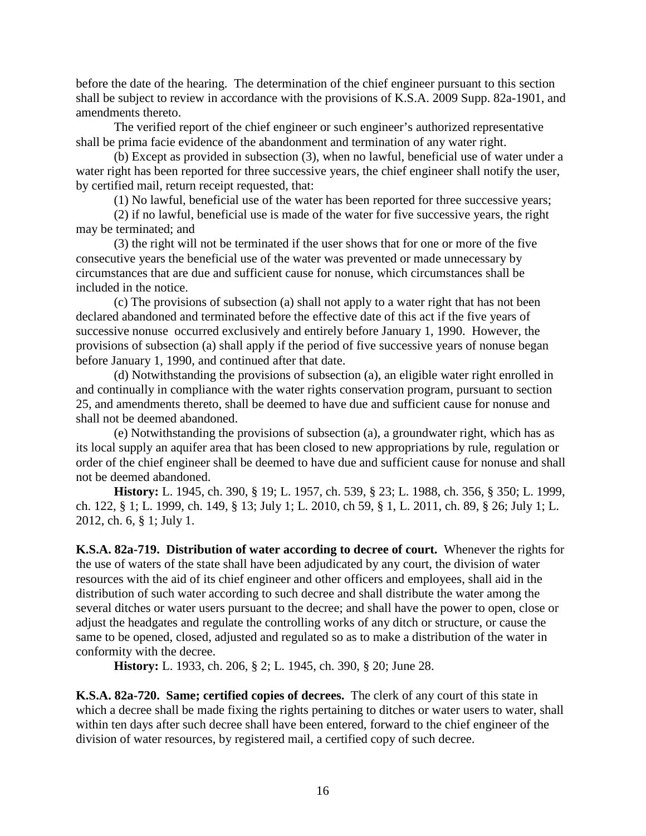before the date of the hearing. The determination of the chief engineer pursuant to this section shall be subject to review in accordance with the provisions of K.S.A. 2009 Supp. 82a-1901, and amendments thereto.

The verified report of the chief engineer or such engineer's authorized representative shall be prima facie evidence of the abandonment and termination of any water right.

(b) Except as provided in subsection (3), when no lawful, beneficial use of water under a water right has been reported for three successive years, the chief engineer shall notify the user, by certified mail, return receipt requested, that:

(1) No lawful, beneficial use of the water has been reported for three successive years;

(2) if no lawful, beneficial use is made of the water for five successive years, the right may be terminated; and

(3) the right will not be terminated if the user shows that for one or more of the five consecutive years the beneficial use of the water was prevented or made unnecessary by circumstances that are due and sufficient cause for nonuse, which circumstances shall be included in the notice.

(c) The provisions of subsection (a) shall not apply to a water right that has not been declared abandoned and terminated before the effective date of this act if the five years of successive nonuse occurred exclusively and entirely before January 1, 1990. However, the provisions of subsection (a) shall apply if the period of five successive years of nonuse began before January 1, 1990, and continued after that date.

(d) Notwithstanding the provisions of subsection (a), an eligible water right enrolled in and continually in compliance with the water rights conservation program, pursuant to section 25, and amendments thereto, shall be deemed to have due and sufficient cause for nonuse and shall not be deemed abandoned.

(e) Notwithstanding the provisions of subsection (a), a groundwater right, which has as its local supply an aquifer area that has been closed to new appropriations by rule, regulation or order of the chief engineer shall be deemed to have due and sufficient cause for nonuse and shall not be deemed abandoned.

**History:** L. 1945, ch. 390, § 19; L. 1957, ch. 539, § 23; L. 1988, ch. 356, § 350; L. 1999, ch. 122, § 1; L. 1999, ch. 149, § 13; July 1; L. 2010, ch 59, § 1, L. 2011, ch. 89, § 26; July 1; L. 2012, ch. 6, § 1; July 1.

<span id="page-18-0"></span>**K.S.A. 82a-719. Distribution of water according to decree of court.** Whenever the rights for the use of waters of the state shall have been adjudicated by any court, the division of water resources with the aid of its chief engineer and other officers and employees, shall aid in the distribution of such water according to such decree and shall distribute the water among the several ditches or water users pursuant to the decree; and shall have the power to open, close or adjust the headgates and regulate the controlling works of any ditch or structure, or cause the same to be opened, closed, adjusted and regulated so as to make a distribution of the water in conformity with the decree.

**History:** L. 1933, ch. 206, § 2; L. 1945, ch. 390, § 20; June 28.

<span id="page-18-1"></span>**K.S.A. 82a-720. Same; certified copies of decrees.** The clerk of any court of this state in which a decree shall be made fixing the rights pertaining to ditches or water users to water, shall within ten days after such decree shall have been entered, forward to the chief engineer of the division of water resources, by registered mail, a certified copy of such decree.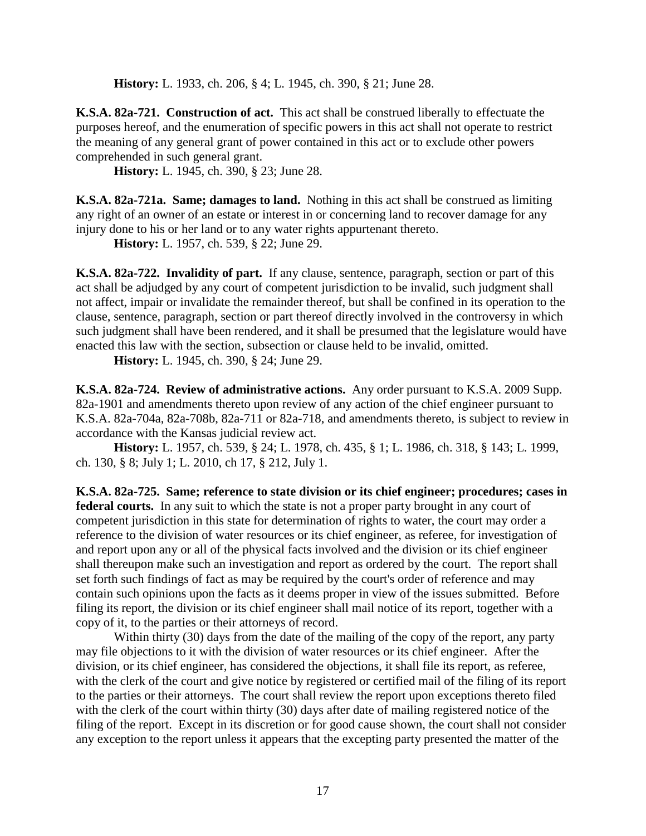**History:** L. 1933, ch. 206, § 4; L. 1945, ch. 390, § 21; June 28.

<span id="page-19-0"></span>**K.S.A. 82a-721. Construction of act.** This act shall be construed liberally to effectuate the purposes hereof, and the enumeration of specific powers in this act shall not operate to restrict the meaning of any general grant of power contained in this act or to exclude other powers comprehended in such general grant.

**History:** L. 1945, ch. 390, § 23; June 28.

<span id="page-19-1"></span>**K.S.A. 82a-721a. Same; damages to land.** Nothing in this act shall be construed as limiting any right of an owner of an estate or interest in or concerning land to recover damage for any injury done to his or her land or to any water rights appurtenant thereto.

**History:** L. 1957, ch. 539, § 22; June 29.

<span id="page-19-2"></span>**K.S.A. 82a-722. Invalidity of part.** If any clause, sentence, paragraph, section or part of this act shall be adjudged by any court of competent jurisdiction to be invalid, such judgment shall not affect, impair or invalidate the remainder thereof, but shall be confined in its operation to the clause, sentence, paragraph, section or part thereof directly involved in the controversy in which such judgment shall have been rendered, and it shall be presumed that the legislature would have enacted this law with the section, subsection or clause held to be invalid, omitted.

**History:** L. 1945, ch. 390, § 24; June 29.

<span id="page-19-3"></span>**K.S.A. 82a-724. Review of administrative actions.** Any order pursuant to K.S.A. 2009 Supp. 82a-1901 and amendments thereto upon review of any action of the chief engineer pursuant to K.S.A. 82a-704a, 82a-708b, 82a-711 or 82a-718, and amendments thereto, is subject to review in accordance with the Kansas judicial review act.

**History:** L. 1957, ch. 539, § 24; L. 1978, ch. 435, § 1; L. 1986, ch. 318, § 143; L. 1999, ch. 130, § 8; July 1; L. 2010, ch 17, § 212, July 1.

<span id="page-19-4"></span>**K.S.A. 82a-725. Same; reference to state division or its chief engineer; procedures; cases in federal courts.** In any suit to which the state is not a proper party brought in any court of competent jurisdiction in this state for determination of rights to water, the court may order a reference to the division of water resources or its chief engineer, as referee, for investigation of and report upon any or all of the physical facts involved and the division or its chief engineer shall thereupon make such an investigation and report as ordered by the court. The report shall set forth such findings of fact as may be required by the court's order of reference and may contain such opinions upon the facts as it deems proper in view of the issues submitted. Before filing its report, the division or its chief engineer shall mail notice of its report, together with a copy of it, to the parties or their attorneys of record.

Within thirty (30) days from the date of the mailing of the copy of the report, any party may file objections to it with the division of water resources or its chief engineer. After the division, or its chief engineer, has considered the objections, it shall file its report, as referee, with the clerk of the court and give notice by registered or certified mail of the filing of its report to the parties or their attorneys. The court shall review the report upon exceptions thereto filed with the clerk of the court within thirty (30) days after date of mailing registered notice of the filing of the report. Except in its discretion or for good cause shown, the court shall not consider any exception to the report unless it appears that the excepting party presented the matter of the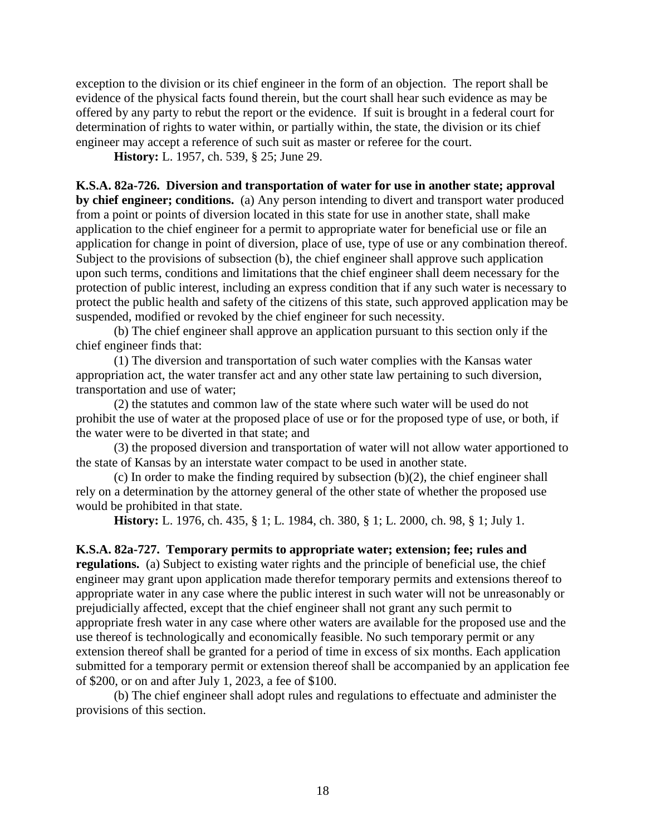exception to the division or its chief engineer in the form of an objection. The report shall be evidence of the physical facts found therein, but the court shall hear such evidence as may be offered by any party to rebut the report or the evidence. If suit is brought in a federal court for determination of rights to water within, or partially within, the state, the division or its chief engineer may accept a reference of such suit as master or referee for the court.

**History:** L. 1957, ch. 539, § 25; June 29.

<span id="page-20-0"></span>**K.S.A. 82a-726. Diversion and transportation of water for use in another state; approval by chief engineer; conditions.** (a) Any person intending to divert and transport water produced from a point or points of diversion located in this state for use in another state, shall make application to the chief engineer for a permit to appropriate water for beneficial use or file an application for change in point of diversion, place of use, type of use or any combination thereof. Subject to the provisions of subsection (b), the chief engineer shall approve such application upon such terms, conditions and limitations that the chief engineer shall deem necessary for the protection of public interest, including an express condition that if any such water is necessary to protect the public health and safety of the citizens of this state, such approved application may be suspended, modified or revoked by the chief engineer for such necessity.

(b) The chief engineer shall approve an application pursuant to this section only if the chief engineer finds that:

(1) The diversion and transportation of such water complies with the Kansas water appropriation act, the water transfer act and any other state law pertaining to such diversion, transportation and use of water;

(2) the statutes and common law of the state where such water will be used do not prohibit the use of water at the proposed place of use or for the proposed type of use, or both, if the water were to be diverted in that state; and

(3) the proposed diversion and transportation of water will not allow water apportioned to the state of Kansas by an interstate water compact to be used in another state.

(c) In order to make the finding required by subsection  $(b)(2)$ , the chief engineer shall rely on a determination by the attorney general of the other state of whether the proposed use would be prohibited in that state.

**History:** L. 1976, ch. 435, § 1; L. 1984, ch. 380, § 1; L. 2000, ch. 98, § 1; July 1.

<span id="page-20-1"></span>**K.S.A. 82a-727. Temporary permits to appropriate water; extension; fee; rules and regulations.** (a) Subject to existing water rights and the principle of beneficial use, the chief engineer may grant upon application made therefor temporary permits and extensions thereof to appropriate water in any case where the public interest in such water will not be unreasonably or prejudicially affected, except that the chief engineer shall not grant any such permit to appropriate fresh water in any case where other waters are available for the proposed use and the use thereof is technologically and economically feasible. No such temporary permit or any extension thereof shall be granted for a period of time in excess of six months. Each application submitted for a temporary permit or extension thereof shall be accompanied by an application fee of \$200, or on and after July 1, 2023, a fee of \$100.

(b) The chief engineer shall adopt rules and regulations to effectuate and administer the provisions of this section.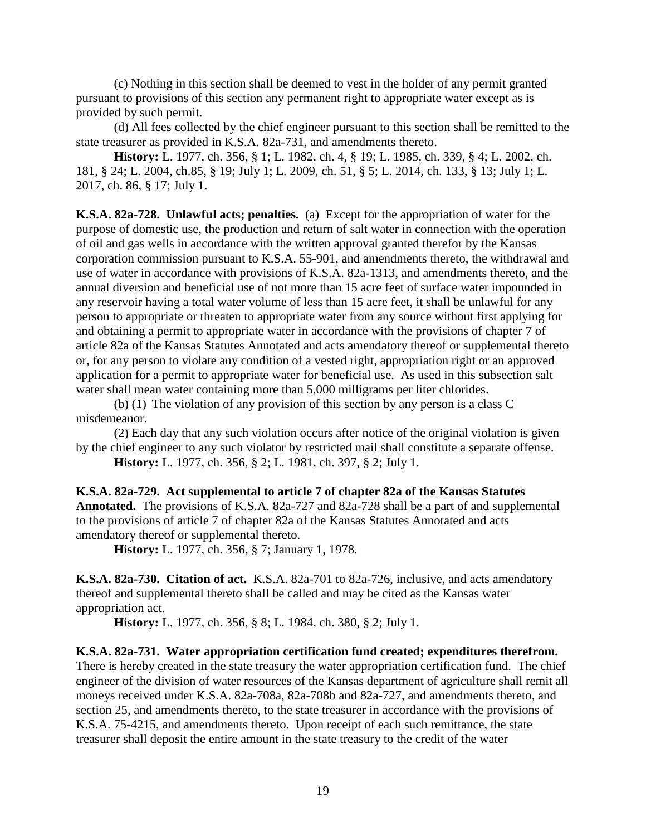(c) Nothing in this section shall be deemed to vest in the holder of any permit granted pursuant to provisions of this section any permanent right to appropriate water except as is provided by such permit.

(d) All fees collected by the chief engineer pursuant to this section shall be remitted to the state treasurer as provided in K.S.A. 82a-731, and amendments thereto.

**History:** L. 1977, ch. 356, § 1; L. 1982, ch. 4, § 19; L. 1985, ch. 339, § 4; L. 2002, ch. 181, § 24; L. 2004, ch.85, § 19; July 1; L. 2009, ch. 51, § 5; L. 2014, ch. 133, § 13; July 1; L. 2017, ch. 86, § 17; July 1.

<span id="page-21-0"></span>**K.S.A. 82a-728. Unlawful acts; penalties.** (a) Except for the appropriation of water for the purpose of domestic use, the production and return of salt water in connection with the operation of oil and gas wells in accordance with the written approval granted therefor by the Kansas corporation commission pursuant to K.S.A. 55-901, and amendments thereto, the withdrawal and use of water in accordance with provisions of K.S.A. 82a-1313, and amendments thereto, and the annual diversion and beneficial use of not more than 15 acre feet of surface water impounded in any reservoir having a total water volume of less than 15 acre feet, it shall be unlawful for any person to appropriate or threaten to appropriate water from any source without first applying for and obtaining a permit to appropriate water in accordance with the provisions of chapter 7 of article 82a of the Kansas Statutes Annotated and acts amendatory thereof or supplemental thereto or, for any person to violate any condition of a vested right, appropriation right or an approved application for a permit to appropriate water for beneficial use. As used in this subsection salt water shall mean water containing more than 5,000 milligrams per liter chlorides.

(b) (1) The violation of any provision of this section by any person is a class C misdemeanor.

(2) Each day that any such violation occurs after notice of the original violation is given by the chief engineer to any such violator by restricted mail shall constitute a separate offense. **History:** L. 1977, ch. 356, § 2; L. 1981, ch. 397, § 2; July 1.

<span id="page-21-1"></span>**K.S.A. 82a-729. Act supplemental to article 7 of chapter 82a of the Kansas Statutes Annotated.** The provisions of K.S.A. 82a-727 and 82a-728 shall be a part of and supplemental to the provisions of article 7 of chapter 82a of the Kansas Statutes Annotated and acts amendatory thereof or supplemental thereto.

**History:** L. 1977, ch. 356, § 7; January 1, 1978.

<span id="page-21-2"></span>**K.S.A. 82a-730. Citation of act.** K.S.A. 82a-701 to 82a-726, inclusive, and acts amendatory thereof and supplemental thereto shall be called and may be cited as the Kansas water appropriation act.

**History:** L. 1977, ch. 356, § 8; L. 1984, ch. 380, § 2; July 1.

<span id="page-21-3"></span>**K.S.A. 82a-731. Water appropriation certification fund created; expenditures therefrom.** There is hereby created in the state treasury the water appropriation certification fund. The chief engineer of the division of water resources of the Kansas department of agriculture shall remit all moneys received under K.S.A. 82a-708a, 82a-708b and 82a-727, and amendments thereto, and section 25, and amendments thereto, to the state treasurer in accordance with the provisions of K.S.A. 75-4215, and amendments thereto. Upon receipt of each such remittance, the state treasurer shall deposit the entire amount in the state treasury to the credit of the water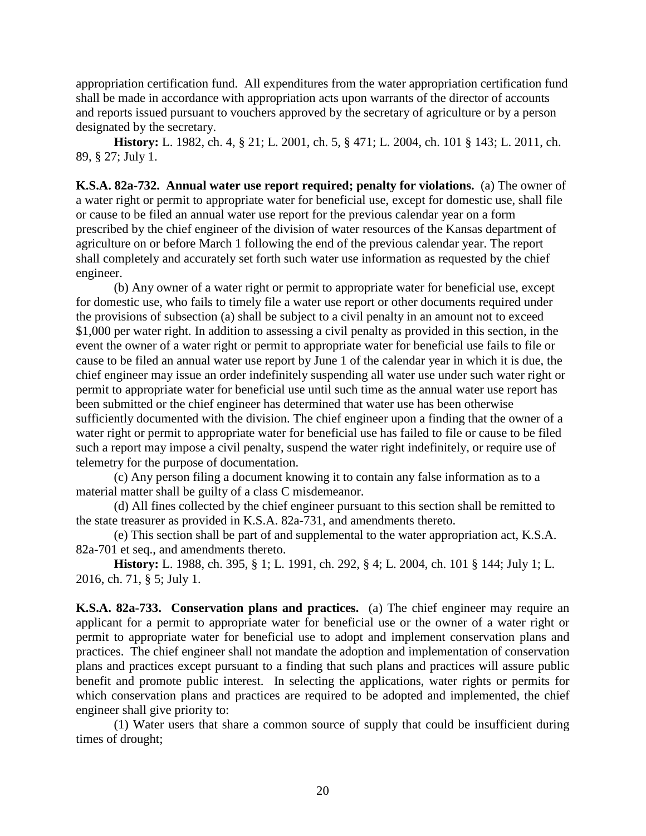appropriation certification fund. All expenditures from the water appropriation certification fund shall be made in accordance with appropriation acts upon warrants of the director of accounts and reports issued pursuant to vouchers approved by the secretary of agriculture or by a person designated by the secretary.

**History:** L. 1982, ch. 4, § 21; L. 2001, ch. 5, § 471; L. 2004, ch. 101 § 143; L. 2011, ch. 89, § 27; July 1.

<span id="page-22-0"></span>**K.S.A. 82a-732. Annual water use report required; penalty for violations.** (a) The owner of a water right or permit to appropriate water for beneficial use, except for domestic use, shall file or cause to be filed an annual water use report for the previous calendar year on a form prescribed by the chief engineer of the division of water resources of the Kansas department of agriculture on or before March 1 following the end of the previous calendar year. The report shall completely and accurately set forth such water use information as requested by the chief engineer.

(b) Any owner of a water right or permit to appropriate water for beneficial use, except for domestic use, who fails to timely file a water use report or other documents required under the provisions of subsection (a) shall be subject to a civil penalty in an amount not to exceed \$1,000 per water right. In addition to assessing a civil penalty as provided in this section, in the event the owner of a water right or permit to appropriate water for beneficial use fails to file or cause to be filed an annual water use report by June 1 of the calendar year in which it is due, the chief engineer may issue an order indefinitely suspending all water use under such water right or permit to appropriate water for beneficial use until such time as the annual water use report has been submitted or the chief engineer has determined that water use has been otherwise sufficiently documented with the division. The chief engineer upon a finding that the owner of a water right or permit to appropriate water for beneficial use has failed to file or cause to be filed such a report may impose a civil penalty, suspend the water right indefinitely, or require use of telemetry for the purpose of documentation.

(c) Any person filing a document knowing it to contain any false information as to a material matter shall be guilty of a class C misdemeanor.

(d) All fines collected by the chief engineer pursuant to this section shall be remitted to the state treasurer as provided in K.S.A. 82a-731, and amendments thereto.

(e) This section shall be part of and supplemental to the water appropriation act, K.S.A. 82a-701 et seq., and amendments thereto.

**History:** L. 1988, ch. 395, § 1; L. 1991, ch. 292, § 4; L. 2004, ch. 101 § 144; July 1; L. 2016, ch. 71, § 5; July 1.

<span id="page-22-1"></span>**K.S.A. 82a-733. Conservation plans and practices.** (a) The chief engineer may require an applicant for a permit to appropriate water for beneficial use or the owner of a water right or permit to appropriate water for beneficial use to adopt and implement conservation plans and practices. The chief engineer shall not mandate the adoption and implementation of conservation plans and practices except pursuant to a finding that such plans and practices will assure public benefit and promote public interest. In selecting the applications, water rights or permits for which conservation plans and practices are required to be adopted and implemented, the chief engineer shall give priority to:

(1) Water users that share a common source of supply that could be insufficient during times of drought;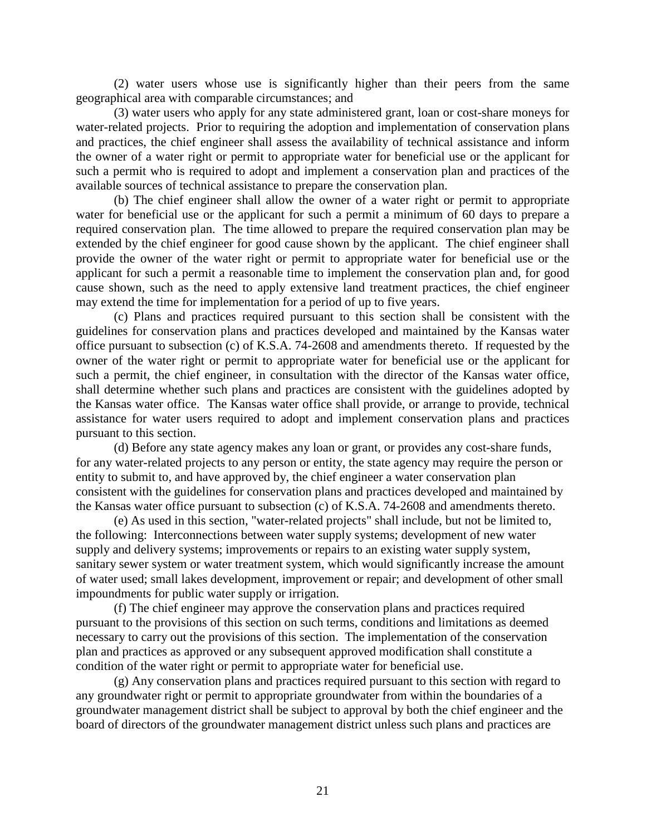(2) water users whose use is significantly higher than their peers from the same geographical area with comparable circumstances; and

(3) water users who apply for any state administered grant, loan or cost-share moneys for water-related projects. Prior to requiring the adoption and implementation of conservation plans and practices, the chief engineer shall assess the availability of technical assistance and inform the owner of a water right or permit to appropriate water for beneficial use or the applicant for such a permit who is required to adopt and implement a conservation plan and practices of the available sources of technical assistance to prepare the conservation plan.

(b) The chief engineer shall allow the owner of a water right or permit to appropriate water for beneficial use or the applicant for such a permit a minimum of 60 days to prepare a required conservation plan. The time allowed to prepare the required conservation plan may be extended by the chief engineer for good cause shown by the applicant. The chief engineer shall provide the owner of the water right or permit to appropriate water for beneficial use or the applicant for such a permit a reasonable time to implement the conservation plan and, for good cause shown, such as the need to apply extensive land treatment practices, the chief engineer may extend the time for implementation for a period of up to five years.

(c) Plans and practices required pursuant to this section shall be consistent with the guidelines for conservation plans and practices developed and maintained by the Kansas water office pursuant to subsection (c) of K.S.A. 74-2608 and amendments thereto. If requested by the owner of the water right or permit to appropriate water for beneficial use or the applicant for such a permit, the chief engineer, in consultation with the director of the Kansas water office, shall determine whether such plans and practices are consistent with the guidelines adopted by the Kansas water office. The Kansas water office shall provide, or arrange to provide, technical assistance for water users required to adopt and implement conservation plans and practices pursuant to this section.

(d) Before any state agency makes any loan or grant, or provides any cost-share funds, for any water-related projects to any person or entity, the state agency may require the person or entity to submit to, and have approved by, the chief engineer a water conservation plan consistent with the guidelines for conservation plans and practices developed and maintained by the Kansas water office pursuant to subsection (c) of K.S.A. 74-2608 and amendments thereto.

(e) As used in this section, "water-related projects" shall include, but not be limited to, the following: Interconnections between water supply systems; development of new water supply and delivery systems; improvements or repairs to an existing water supply system, sanitary sewer system or water treatment system, which would significantly increase the amount of water used; small lakes development, improvement or repair; and development of other small impoundments for public water supply or irrigation.

(f) The chief engineer may approve the conservation plans and practices required pursuant to the provisions of this section on such terms, conditions and limitations as deemed necessary to carry out the provisions of this section. The implementation of the conservation plan and practices as approved or any subsequent approved modification shall constitute a condition of the water right or permit to appropriate water for beneficial use.

(g) Any conservation plans and practices required pursuant to this section with regard to any groundwater right or permit to appropriate groundwater from within the boundaries of a groundwater management district shall be subject to approval by both the chief engineer and the board of directors of the groundwater management district unless such plans and practices are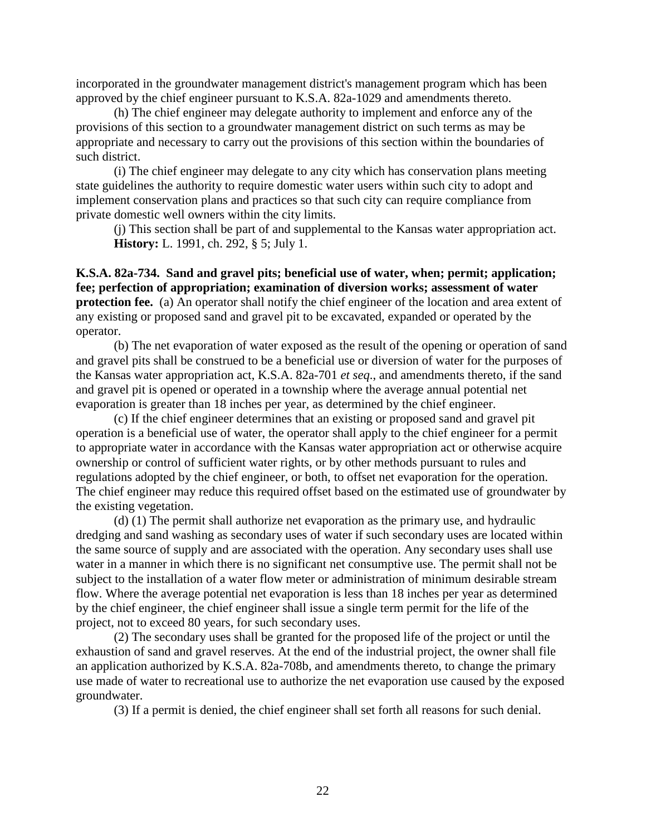incorporated in the groundwater management district's management program which has been approved by the chief engineer pursuant to K.S.A. 82a-1029 and amendments thereto.

(h) The chief engineer may delegate authority to implement and enforce any of the provisions of this section to a groundwater management district on such terms as may be appropriate and necessary to carry out the provisions of this section within the boundaries of such district.

(i) The chief engineer may delegate to any city which has conservation plans meeting state guidelines the authority to require domestic water users within such city to adopt and implement conservation plans and practices so that such city can require compliance from private domestic well owners within the city limits.

(j) This section shall be part of and supplemental to the Kansas water appropriation act. **History:** L. 1991, ch. 292, § 5; July 1.

<span id="page-24-0"></span>**K.S.A. 82a-734. Sand and gravel pits; beneficial use of water, when; permit; application; fee; perfection of appropriation; examination of diversion works; assessment of water protection fee.** (a) An operator shall notify the chief engineer of the location and area extent of any existing or proposed sand and gravel pit to be excavated, expanded or operated by the operator.

(b) The net evaporation of water exposed as the result of the opening or operation of sand and gravel pits shall be construed to be a beneficial use or diversion of water for the purposes of the Kansas water appropriation act, K.S.A. 82a-701 *et seq*., and amendments thereto, if the sand and gravel pit is opened or operated in a township where the average annual potential net evaporation is greater than 18 inches per year, as determined by the chief engineer.

(c) If the chief engineer determines that an existing or proposed sand and gravel pit operation is a beneficial use of water, the operator shall apply to the chief engineer for a permit to appropriate water in accordance with the Kansas water appropriation act or otherwise acquire ownership or control of sufficient water rights, or by other methods pursuant to rules and regulations adopted by the chief engineer, or both, to offset net evaporation for the operation. The chief engineer may reduce this required offset based on the estimated use of groundwater by the existing vegetation.

(d) (1) The permit shall authorize net evaporation as the primary use, and hydraulic dredging and sand washing as secondary uses of water if such secondary uses are located within the same source of supply and are associated with the operation. Any secondary uses shall use water in a manner in which there is no significant net consumptive use. The permit shall not be subject to the installation of a water flow meter or administration of minimum desirable stream flow. Where the average potential net evaporation is less than 18 inches per year as determined by the chief engineer, the chief engineer shall issue a single term permit for the life of the project, not to exceed 80 years, for such secondary uses.

(2) The secondary uses shall be granted for the proposed life of the project or until the exhaustion of sand and gravel reserves. At the end of the industrial project, the owner shall file an application authorized by K.S.A. 82a-708b, and amendments thereto, to change the primary use made of water to recreational use to authorize the net evaporation use caused by the exposed groundwater.

(3) If a permit is denied, the chief engineer shall set forth all reasons for such denial.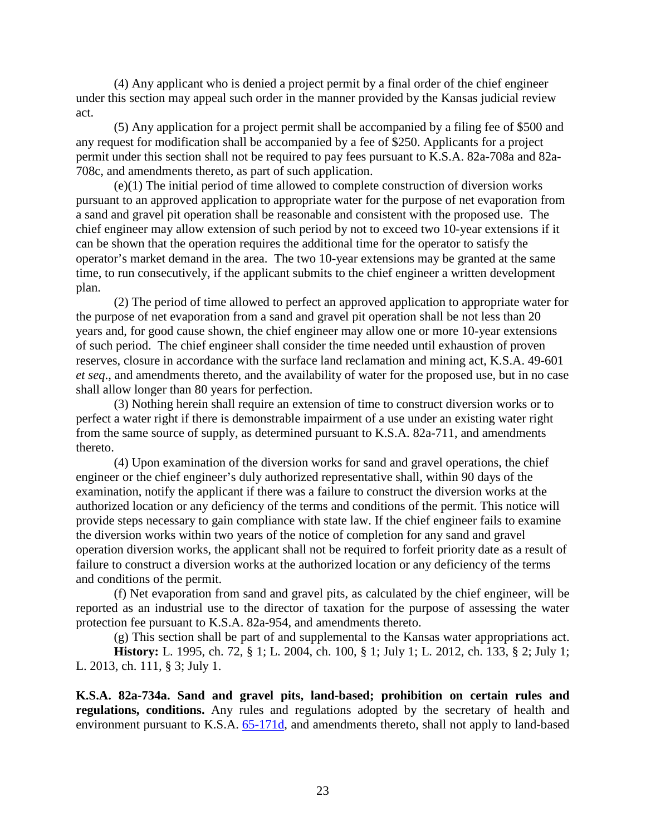(4) Any applicant who is denied a project permit by a final order of the chief engineer under this section may appeal such order in the manner provided by the Kansas judicial review act.

(5) Any application for a project permit shall be accompanied by a filing fee of \$500 and any request for modification shall be accompanied by a fee of \$250. Applicants for a project permit under this section shall not be required to pay fees pursuant to K.S.A. 82a-708a and 82a-708c, and amendments thereto, as part of such application.

(e)(1) The initial period of time allowed to complete construction of diversion works pursuant to an approved application to appropriate water for the purpose of net evaporation from a sand and gravel pit operation shall be reasonable and consistent with the proposed use. The chief engineer may allow extension of such period by not to exceed two 10-year extensions if it can be shown that the operation requires the additional time for the operator to satisfy the operator's market demand in the area. The two 10-year extensions may be granted at the same time, to run consecutively, if the applicant submits to the chief engineer a written development plan.

(2) The period of time allowed to perfect an approved application to appropriate water for the purpose of net evaporation from a sand and gravel pit operation shall be not less than 20 years and, for good cause shown, the chief engineer may allow one or more 10-year extensions of such period. The chief engineer shall consider the time needed until exhaustion of proven reserves, closure in accordance with the surface land reclamation and mining act, K.S.A. 49-601 *et seq*., and amendments thereto, and the availability of water for the proposed use, but in no case shall allow longer than 80 years for perfection.

(3) Nothing herein shall require an extension of time to construct diversion works or to perfect a water right if there is demonstrable impairment of a use under an existing water right from the same source of supply, as determined pursuant to K.S.A. 82a-711, and amendments thereto.

(4) Upon examination of the diversion works for sand and gravel operations, the chief engineer or the chief engineer's duly authorized representative shall, within 90 days of the examination, notify the applicant if there was a failure to construct the diversion works at the authorized location or any deficiency of the terms and conditions of the permit. This notice will provide steps necessary to gain compliance with state law. If the chief engineer fails to examine the diversion works within two years of the notice of completion for any sand and gravel operation diversion works, the applicant shall not be required to forfeit priority date as a result of failure to construct a diversion works at the authorized location or any deficiency of the terms and conditions of the permit.

(f) Net evaporation from sand and gravel pits, as calculated by the chief engineer, will be reported as an industrial use to the director of taxation for the purpose of assessing the water protection fee pursuant to K.S.A. 82a-954, and amendments thereto.

(g) This section shall be part of and supplemental to the Kansas water appropriations act. **History:** L. 1995, ch. 72, § 1; L. 2004, ch. 100, § 1; July 1; L. 2012, ch. 133, § 2; July 1; L. 2013, ch. 111, § 3; July 1.

<span id="page-25-0"></span>**K.S.A. 82a-734a. Sand and gravel pits, land-based; prohibition on certain rules and regulations, conditions.** Any rules and regulations adopted by the secretary of health and environment pursuant to K.S.A. [65-171d,](http://www.ksrevisor.org/statutes/chapters/ch65/065_001_0071d.html) and amendments thereto, shall not apply to land-based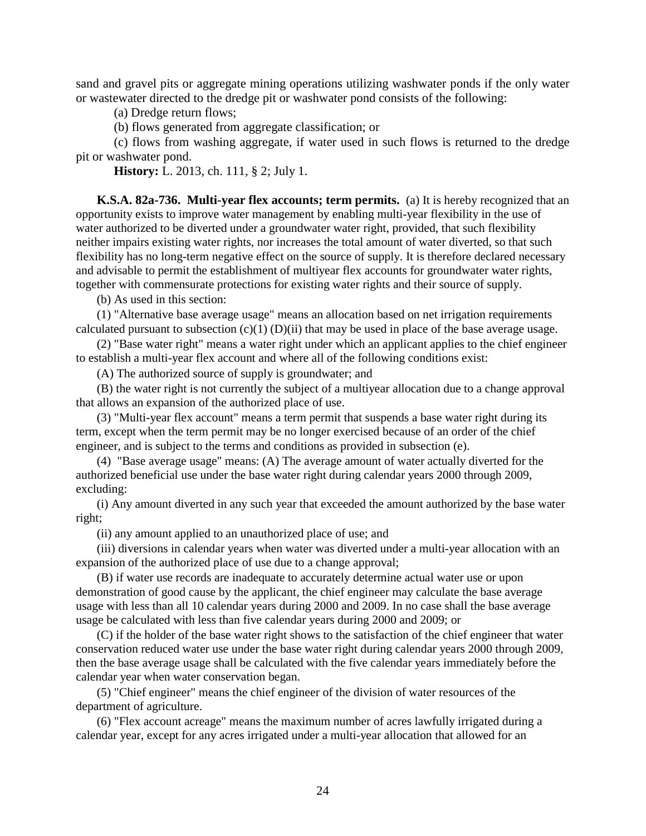sand and gravel pits or aggregate mining operations utilizing washwater ponds if the only water or wastewater directed to the dredge pit or washwater pond consists of the following:

(a) Dredge return flows;

(b) flows generated from aggregate classification; or

(c) flows from washing aggregate, if water used in such flows is returned to the dredge pit or washwater pond.

**History:** L. 2013, ch. 111, § 2; July 1.

<span id="page-26-0"></span>**K.S.A. 82a-736. Multi-year flex accounts; term permits.** (a) It is hereby recognized that an opportunity exists to improve water management by enabling multi-year flexibility in the use of water authorized to be diverted under a groundwater water right, provided, that such flexibility neither impairs existing water rights, nor increases the total amount of water diverted, so that such flexibility has no long-term negative effect on the source of supply. It is therefore declared necessary and advisable to permit the establishment of multiyear flex accounts for groundwater water rights, together with commensurate protections for existing water rights and their source of supply.

(b) As used in this section:

(1) "Alternative base average usage" means an allocation based on net irrigation requirements calculated pursuant to subsection  $(c)(1)$   $(D)(ii)$  that may be used in place of the base average usage.

(2) "Base water right" means a water right under which an applicant applies to the chief engineer to establish a multi-year flex account and where all of the following conditions exist:

(A) The authorized source of supply is groundwater; and

(B) the water right is not currently the subject of a multiyear allocation due to a change approval that allows an expansion of the authorized place of use.

(3) "Multi-year flex account" means a term permit that suspends a base water right during its term, except when the term permit may be no longer exercised because of an order of the chief engineer, and is subject to the terms and conditions as provided in subsection (e).

(4) "Base average usage" means: (A) The average amount of water actually diverted for the authorized beneficial use under the base water right during calendar years 2000 through 2009, excluding:

(i) Any amount diverted in any such year that exceeded the amount authorized by the base water right;

(ii) any amount applied to an unauthorized place of use; and

(iii) diversions in calendar years when water was diverted under a multi-year allocation with an expansion of the authorized place of use due to a change approval;

(B) if water use records are inadequate to accurately determine actual water use or upon demonstration of good cause by the applicant, the chief engineer may calculate the base average usage with less than all 10 calendar years during 2000 and 2009. In no case shall the base average usage be calculated with less than five calendar years during 2000 and 2009; or

(C) if the holder of the base water right shows to the satisfaction of the chief engineer that water conservation reduced water use under the base water right during calendar years 2000 through 2009, then the base average usage shall be calculated with the five calendar years immediately before the calendar year when water conservation began.

(5) "Chief engineer" means the chief engineer of the division of water resources of the department of agriculture.

(6) "Flex account acreage" means the maximum number of acres lawfully irrigated during a calendar year, except for any acres irrigated under a multi-year allocation that allowed for an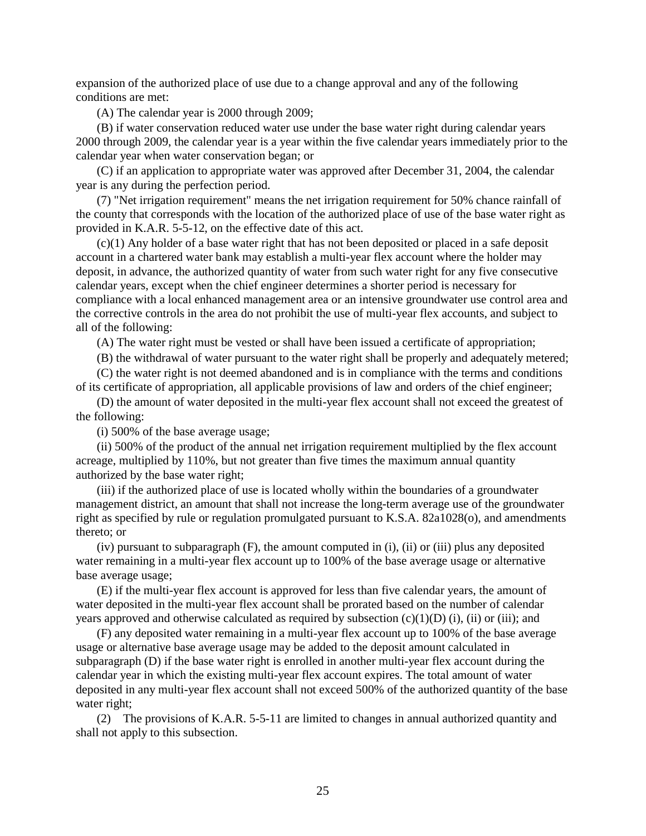expansion of the authorized place of use due to a change approval and any of the following conditions are met:

(A) The calendar year is 2000 through 2009;

(B) if water conservation reduced water use under the base water right during calendar years 2000 through 2009, the calendar year is a year within the five calendar years immediately prior to the calendar year when water conservation began; or

(C) if an application to appropriate water was approved after December 31, 2004, the calendar year is any during the perfection period.

(7) "Net irrigation requirement" means the net irrigation requirement for 50% chance rainfall of the county that corresponds with the location of the authorized place of use of the base water right as provided in K.A.R. 5-5-12, on the effective date of this act.

(c)(1) Any holder of a base water right that has not been deposited or placed in a safe deposit account in a chartered water bank may establish a multi-year flex account where the holder may deposit, in advance, the authorized quantity of water from such water right for any five consecutive calendar years, except when the chief engineer determines a shorter period is necessary for compliance with a local enhanced management area or an intensive groundwater use control area and the corrective controls in the area do not prohibit the use of multi-year flex accounts, and subject to all of the following:

(A) The water right must be vested or shall have been issued a certificate of appropriation;

(B) the withdrawal of water pursuant to the water right shall be properly and adequately metered;

(C) the water right is not deemed abandoned and is in compliance with the terms and conditions of its certificate of appropriation, all applicable provisions of law and orders of the chief engineer;

(D) the amount of water deposited in the multi-year flex account shall not exceed the greatest of the following:

(i) 500% of the base average usage;

(ii) 500% of the product of the annual net irrigation requirement multiplied by the flex account acreage, multiplied by 110%, but not greater than five times the maximum annual quantity authorized by the base water right;

(iii) if the authorized place of use is located wholly within the boundaries of a groundwater management district, an amount that shall not increase the long-term average use of the groundwater right as specified by rule or regulation promulgated pursuant to K.S.A. 82a1028(o), and amendments thereto; or

(iv) pursuant to subparagraph (F), the amount computed in (i), (ii) or (iii) plus any deposited water remaining in a multi-year flex account up to 100% of the base average usage or alternative base average usage;

(E) if the multi-year flex account is approved for less than five calendar years, the amount of water deposited in the multi-year flex account shall be prorated based on the number of calendar years approved and otherwise calculated as required by subsection  $(c)(1)(D)$  (i), (ii) or (iii); and

(F) any deposited water remaining in a multi-year flex account up to 100% of the base average usage or alternative base average usage may be added to the deposit amount calculated in subparagraph (D) if the base water right is enrolled in another multi-year flex account during the calendar year in which the existing multi-year flex account expires. The total amount of water deposited in any multi-year flex account shall not exceed 500% of the authorized quantity of the base water right;

(2) The provisions of K.A.R. 5-5-11 are limited to changes in annual authorized quantity and shall not apply to this subsection.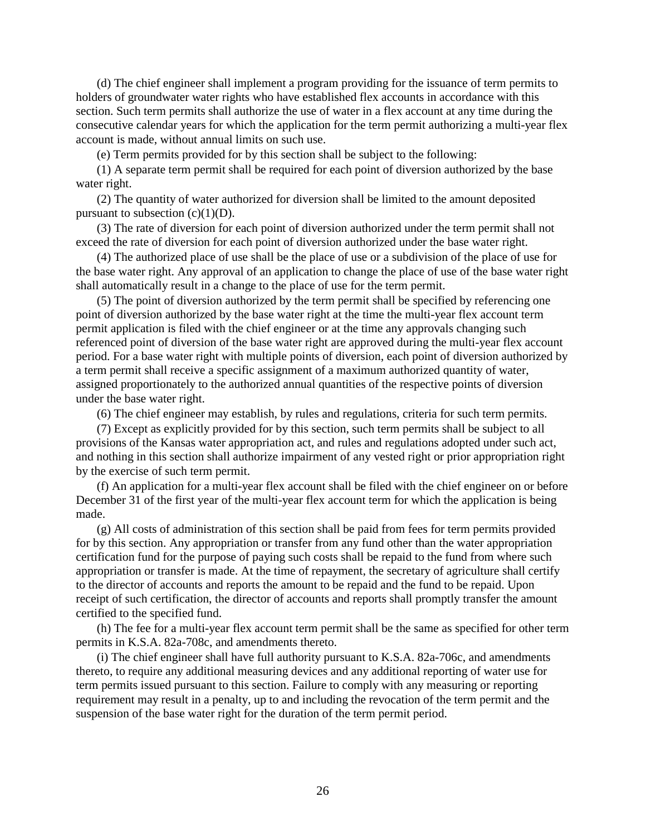(d) The chief engineer shall implement a program providing for the issuance of term permits to holders of groundwater water rights who have established flex accounts in accordance with this section. Such term permits shall authorize the use of water in a flex account at any time during the consecutive calendar years for which the application for the term permit authorizing a multi-year flex account is made, without annual limits on such use.

(e) Term permits provided for by this section shall be subject to the following:

(1) A separate term permit shall be required for each point of diversion authorized by the base water right.

(2) The quantity of water authorized for diversion shall be limited to the amount deposited pursuant to subsection  $(c)(1)(D)$ .

(3) The rate of diversion for each point of diversion authorized under the term permit shall not exceed the rate of diversion for each point of diversion authorized under the base water right.

(4) The authorized place of use shall be the place of use or a subdivision of the place of use for the base water right. Any approval of an application to change the place of use of the base water right shall automatically result in a change to the place of use for the term permit.

(5) The point of diversion authorized by the term permit shall be specified by referencing one point of diversion authorized by the base water right at the time the multi-year flex account term permit application is filed with the chief engineer or at the time any approvals changing such referenced point of diversion of the base water right are approved during the multi-year flex account period. For a base water right with multiple points of diversion, each point of diversion authorized by a term permit shall receive a specific assignment of a maximum authorized quantity of water, assigned proportionately to the authorized annual quantities of the respective points of diversion under the base water right.

(6) The chief engineer may establish, by rules and regulations, criteria for such term permits.

(7) Except as explicitly provided for by this section, such term permits shall be subject to all provisions of the Kansas water appropriation act, and rules and regulations adopted under such act, and nothing in this section shall authorize impairment of any vested right or prior appropriation right by the exercise of such term permit.

(f) An application for a multi-year flex account shall be filed with the chief engineer on or before December 31 of the first year of the multi-year flex account term for which the application is being made.

(g) All costs of administration of this section shall be paid from fees for term permits provided for by this section. Any appropriation or transfer from any fund other than the water appropriation certification fund for the purpose of paying such costs shall be repaid to the fund from where such appropriation or transfer is made. At the time of repayment, the secretary of agriculture shall certify to the director of accounts and reports the amount to be repaid and the fund to be repaid. Upon receipt of such certification, the director of accounts and reports shall promptly transfer the amount certified to the specified fund.

(h) The fee for a multi-year flex account term permit shall be the same as specified for other term permits in K.S.A. 82a-708c, and amendments thereto.

(i) The chief engineer shall have full authority pursuant to K.S.A. 82a-706c, and amendments thereto, to require any additional measuring devices and any additional reporting of water use for term permits issued pursuant to this section. Failure to comply with any measuring or reporting requirement may result in a penalty, up to and including the revocation of the term permit and the suspension of the base water right for the duration of the term permit period.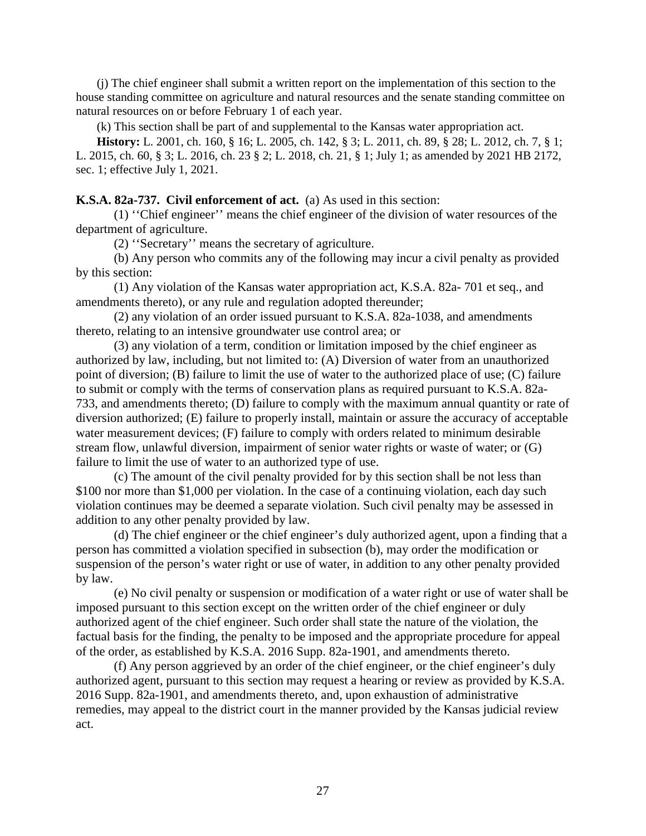(j) The chief engineer shall submit a written report on the implementation of this section to the house standing committee on agriculture and natural resources and the senate standing committee on natural resources on or before February 1 of each year.

(k) This section shall be part of and supplemental to the Kansas water appropriation act.

**History:** L. 2001, ch. 160, § 16; L. 2005, ch. 142, § 3; L. 2011, ch. 89, § 28; L. 2012, ch. 7, § 1; L. 2015, ch. 60, § 3; L. 2016, ch. 23 § 2; L. 2018, ch. 21, § 1; July 1; as amended by 2021 HB 2172, sec. 1; effective July 1, 2021.

### <span id="page-29-0"></span>**K.S.A. 82a-737. Civil enforcement of act.** (a) As used in this section:

(1) ''Chief engineer'' means the chief engineer of the division of water resources of the department of agriculture.

(2) ''Secretary'' means the secretary of agriculture.

(b) Any person who commits any of the following may incur a civil penalty as provided by this section:

(1) Any violation of the Kansas water appropriation act, K.S.A. 82a- 701 et seq., and amendments thereto), or any rule and regulation adopted thereunder;

(2) any violation of an order issued pursuant to K.S.A. 82a-1038, and amendments thereto, relating to an intensive groundwater use control area; or

(3) any violation of a term, condition or limitation imposed by the chief engineer as authorized by law, including, but not limited to: (A) Diversion of water from an unauthorized point of diversion; (B) failure to limit the use of water to the authorized place of use; (C) failure to submit or comply with the terms of conservation plans as required pursuant to K.S.A. 82a-733, and amendments thereto; (D) failure to comply with the maximum annual quantity or rate of diversion authorized; (E) failure to properly install, maintain or assure the accuracy of acceptable water measurement devices; (F) failure to comply with orders related to minimum desirable stream flow, unlawful diversion, impairment of senior water rights or waste of water; or (G) failure to limit the use of water to an authorized type of use.

(c) The amount of the civil penalty provided for by this section shall be not less than \$100 nor more than \$1,000 per violation. In the case of a continuing violation, each day such violation continues may be deemed a separate violation. Such civil penalty may be assessed in addition to any other penalty provided by law.

(d) The chief engineer or the chief engineer's duly authorized agent, upon a finding that a person has committed a violation specified in subsection (b), may order the modification or suspension of the person's water right or use of water, in addition to any other penalty provided by law.

(e) No civil penalty or suspension or modification of a water right or use of water shall be imposed pursuant to this section except on the written order of the chief engineer or duly authorized agent of the chief engineer. Such order shall state the nature of the violation, the factual basis for the finding, the penalty to be imposed and the appropriate procedure for appeal of the order, as established by K.S.A. 2016 Supp. 82a-1901, and amendments thereto.

(f) Any person aggrieved by an order of the chief engineer, or the chief engineer's duly authorized agent, pursuant to this section may request a hearing or review as provided by K.S.A. 2016 Supp. 82a-1901, and amendments thereto, and, upon exhaustion of administrative remedies, may appeal to the district court in the manner provided by the Kansas judicial review act.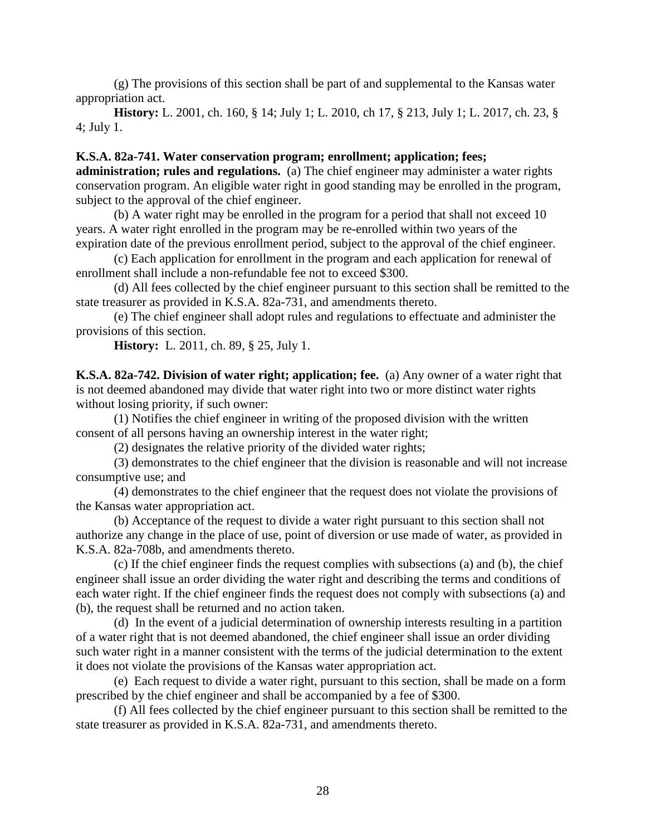(g) The provisions of this section shall be part of and supplemental to the Kansas water appropriation act.

**History:** L. 2001, ch. 160, § 14; July 1; L. 2010, ch 17, § 213, July 1; L. 2017, ch. 23, § 4; July 1.

### <span id="page-30-0"></span>**K.S.A. 82a-741. Water conservation program; enrollment; application; fees;**

**administration; rules and regulations.** (a) The chief engineer may administer a water rights conservation program. An eligible water right in good standing may be enrolled in the program, subject to the approval of the chief engineer.

(b) A water right may be enrolled in the program for a period that shall not exceed 10 years. A water right enrolled in the program may be re-enrolled within two years of the expiration date of the previous enrollment period, subject to the approval of the chief engineer.

(c) Each application for enrollment in the program and each application for renewal of enrollment shall include a non-refundable fee not to exceed \$300.

(d) All fees collected by the chief engineer pursuant to this section shall be remitted to the state treasurer as provided in K.S.A. 82a-731, and amendments thereto.

(e) The chief engineer shall adopt rules and regulations to effectuate and administer the provisions of this section.

**History:** L. 2011, ch. 89, § 25, July 1.

<span id="page-30-1"></span>**K.S.A. 82a-742. Division of water right; application; fee.** (a) Any owner of a water right that is not deemed abandoned may divide that water right into two or more distinct water rights without losing priority, if such owner:

(1) Notifies the chief engineer in writing of the proposed division with the written consent of all persons having an ownership interest in the water right;

(2) designates the relative priority of the divided water rights;

(3) demonstrates to the chief engineer that the division is reasonable and will not increase consumptive use; and

(4) demonstrates to the chief engineer that the request does not violate the provisions of the Kansas water appropriation act.

(b) Acceptance of the request to divide a water right pursuant to this section shall not authorize any change in the place of use, point of diversion or use made of water, as provided in K.S.A. 82a-708b, and amendments thereto.

(c) If the chief engineer finds the request complies with subsections (a) and (b), the chief engineer shall issue an order dividing the water right and describing the terms and conditions of each water right. If the chief engineer finds the request does not comply with subsections (a) and (b), the request shall be returned and no action taken.

(d) In the event of a judicial determination of ownership interests resulting in a partition of a water right that is not deemed abandoned, the chief engineer shall issue an order dividing such water right in a manner consistent with the terms of the judicial determination to the extent it does not violate the provisions of the Kansas water appropriation act.

(e) Each request to divide a water right, pursuant to this section, shall be made on a form prescribed by the chief engineer and shall be accompanied by a fee of \$300.

(f) All fees collected by the chief engineer pursuant to this section shall be remitted to the state treasurer as provided in K.S.A. 82a-731, and amendments thereto.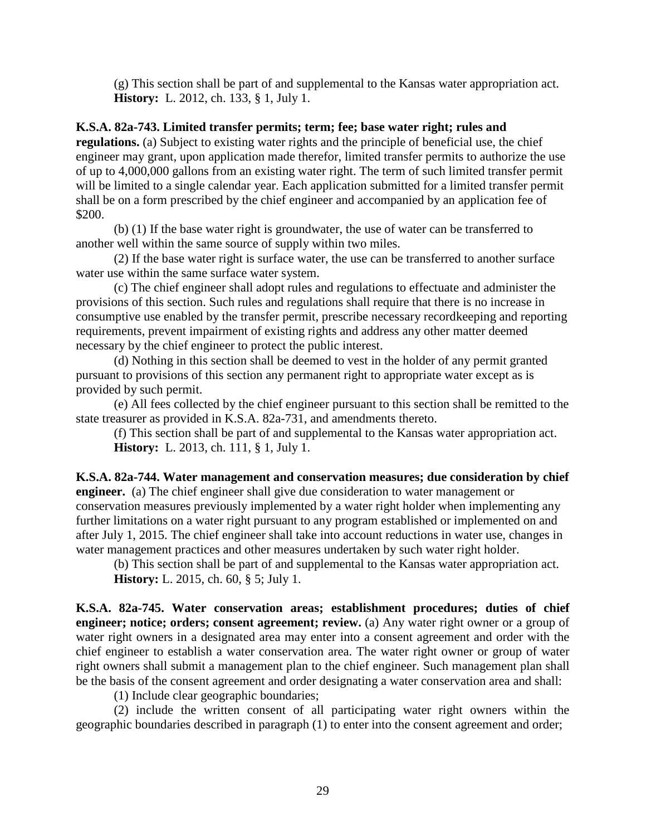(g) This section shall be part of and supplemental to the Kansas water appropriation act. **History:** L. 2012, ch. 133, § 1, July 1.

### <span id="page-31-0"></span>**K.S.A. 82a-743. Limited transfer permits; term; fee; base water right; rules and**

**regulations.** (a) Subject to existing water rights and the principle of beneficial use, the chief engineer may grant, upon application made therefor, limited transfer permits to authorize the use of up to 4,000,000 gallons from an existing water right. The term of such limited transfer permit will be limited to a single calendar year. Each application submitted for a limited transfer permit shall be on a form prescribed by the chief engineer and accompanied by an application fee of \$200.

(b) (1) If the base water right is groundwater, the use of water can be transferred to another well within the same source of supply within two miles.

(2) If the base water right is surface water, the use can be transferred to another surface water use within the same surface water system.

(c) The chief engineer shall adopt rules and regulations to effectuate and administer the provisions of this section. Such rules and regulations shall require that there is no increase in consumptive use enabled by the transfer permit, prescribe necessary recordkeeping and reporting requirements, prevent impairment of existing rights and address any other matter deemed necessary by the chief engineer to protect the public interest.

(d) Nothing in this section shall be deemed to vest in the holder of any permit granted pursuant to provisions of this section any permanent right to appropriate water except as is provided by such permit.

(e) All fees collected by the chief engineer pursuant to this section shall be remitted to the state treasurer as provided in K.S.A. 82a-731, and amendments thereto.

(f) This section shall be part of and supplemental to the Kansas water appropriation act. **History:** L. 2013, ch. 111, § 1, July 1.

<span id="page-31-1"></span>**K.S.A. 82a-744. Water management and conservation measures; due consideration by chief engineer.** (a) The chief engineer shall give due consideration to water management or conservation measures previously implemented by a water right holder when implementing any further limitations on a water right pursuant to any program established or implemented on and after July 1, 2015. The chief engineer shall take into account reductions in water use, changes in water management practices and other measures undertaken by such water right holder.

(b) This section shall be part of and supplemental to the Kansas water appropriation act. **History:** L. 2015, ch. 60, § 5; July 1.

<span id="page-31-2"></span>**K.S.A. 82a-745. Water conservation areas; establishment procedures; duties of chief engineer; notice; orders; consent agreement; review.** (a) Any water right owner or a group of water right owners in a designated area may enter into a consent agreement and order with the chief engineer to establish a water conservation area. The water right owner or group of water right owners shall submit a management plan to the chief engineer. Such management plan shall be the basis of the consent agreement and order designating a water conservation area and shall:

(1) Include clear geographic boundaries;

(2) include the written consent of all participating water right owners within the geographic boundaries described in paragraph (1) to enter into the consent agreement and order;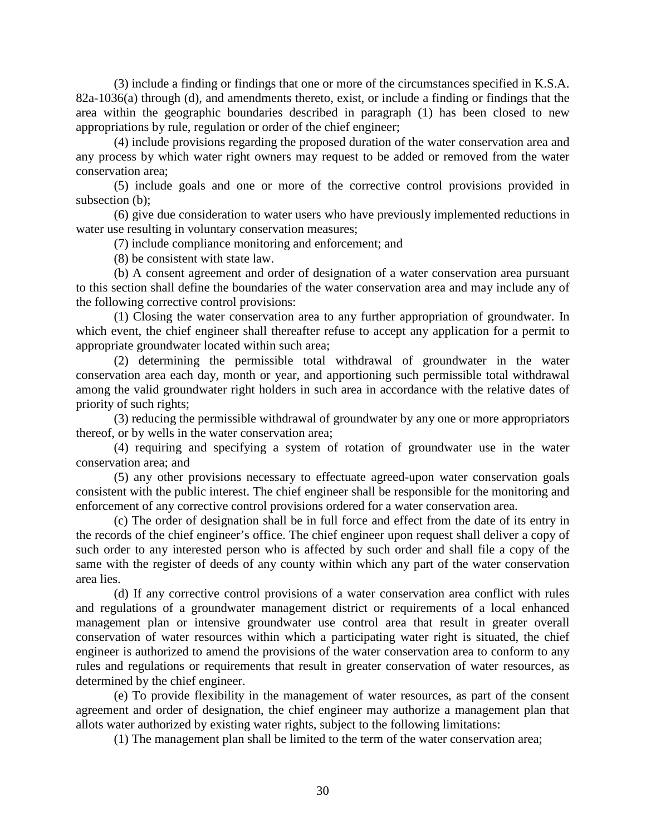(3) include a finding or findings that one or more of the circumstances specified in K.S.A. 82a-1036(a) through (d), and amendments thereto, exist, or include a finding or findings that the area within the geographic boundaries described in paragraph (1) has been closed to new appropriations by rule, regulation or order of the chief engineer;

(4) include provisions regarding the proposed duration of the water conservation area and any process by which water right owners may request to be added or removed from the water conservation area;

(5) include goals and one or more of the corrective control provisions provided in subsection (b);

(6) give due consideration to water users who have previously implemented reductions in water use resulting in voluntary conservation measures;

(7) include compliance monitoring and enforcement; and

(8) be consistent with state law.

(b) A consent agreement and order of designation of a water conservation area pursuant to this section shall define the boundaries of the water conservation area and may include any of the following corrective control provisions:

(1) Closing the water conservation area to any further appropriation of groundwater. In which event, the chief engineer shall thereafter refuse to accept any application for a permit to appropriate groundwater located within such area;

(2) determining the permissible total withdrawal of groundwater in the water conservation area each day, month or year, and apportioning such permissible total withdrawal among the valid groundwater right holders in such area in accordance with the relative dates of priority of such rights;

(3) reducing the permissible withdrawal of groundwater by any one or more appropriators thereof, or by wells in the water conservation area;

(4) requiring and specifying a system of rotation of groundwater use in the water conservation area; and

(5) any other provisions necessary to effectuate agreed-upon water conservation goals consistent with the public interest. The chief engineer shall be responsible for the monitoring and enforcement of any corrective control provisions ordered for a water conservation area.

(c) The order of designation shall be in full force and effect from the date of its entry in the records of the chief engineer's office. The chief engineer upon request shall deliver a copy of such order to any interested person who is affected by such order and shall file a copy of the same with the register of deeds of any county within which any part of the water conservation area lies.

(d) If any corrective control provisions of a water conservation area conflict with rules and regulations of a groundwater management district or requirements of a local enhanced management plan or intensive groundwater use control area that result in greater overall conservation of water resources within which a participating water right is situated, the chief engineer is authorized to amend the provisions of the water conservation area to conform to any rules and regulations or requirements that result in greater conservation of water resources, as determined by the chief engineer.

(e) To provide flexibility in the management of water resources, as part of the consent agreement and order of designation, the chief engineer may authorize a management plan that allots water authorized by existing water rights, subject to the following limitations:

(1) The management plan shall be limited to the term of the water conservation area;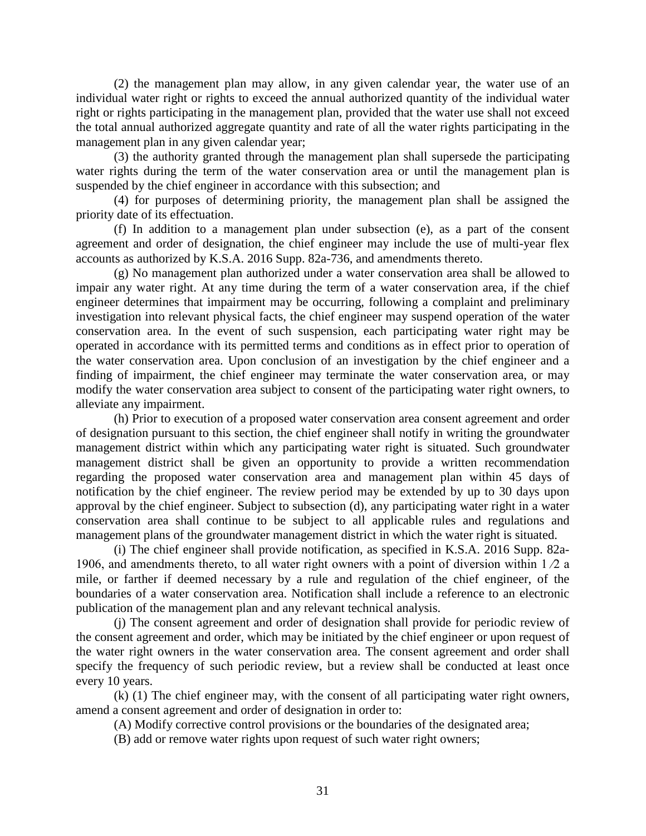(2) the management plan may allow, in any given calendar year, the water use of an individual water right or rights to exceed the annual authorized quantity of the individual water right or rights participating in the management plan, provided that the water use shall not exceed the total annual authorized aggregate quantity and rate of all the water rights participating in the management plan in any given calendar year;

(3) the authority granted through the management plan shall supersede the participating water rights during the term of the water conservation area or until the management plan is suspended by the chief engineer in accordance with this subsection; and

(4) for purposes of determining priority, the management plan shall be assigned the priority date of its effectuation.

(f) In addition to a management plan under subsection (e), as a part of the consent agreement and order of designation, the chief engineer may include the use of multi-year flex accounts as authorized by K.S.A. 2016 Supp. 82a-736, and amendments thereto.

(g) No management plan authorized under a water conservation area shall be allowed to impair any water right. At any time during the term of a water conservation area, if the chief engineer determines that impairment may be occurring, following a complaint and preliminary investigation into relevant physical facts, the chief engineer may suspend operation of the water conservation area. In the event of such suspension, each participating water right may be operated in accordance with its permitted terms and conditions as in effect prior to operation of the water conservation area. Upon conclusion of an investigation by the chief engineer and a finding of impairment, the chief engineer may terminate the water conservation area, or may modify the water conservation area subject to consent of the participating water right owners, to alleviate any impairment.

(h) Prior to execution of a proposed water conservation area consent agreement and order of designation pursuant to this section, the chief engineer shall notify in writing the groundwater management district within which any participating water right is situated. Such groundwater management district shall be given an opportunity to provide a written recommendation regarding the proposed water conservation area and management plan within 45 days of notification by the chief engineer. The review period may be extended by up to 30 days upon approval by the chief engineer. Subject to subsection (d), any participating water right in a water conservation area shall continue to be subject to all applicable rules and regulations and management plans of the groundwater management district in which the water right is situated.

(i) The chief engineer shall provide notification, as specified in K.S.A. 2016 Supp. 82a-1906, and amendments thereto, to all water right owners with a point of diversion within 1 ⁄2 a mile, or farther if deemed necessary by a rule and regulation of the chief engineer, of the boundaries of a water conservation area. Notification shall include a reference to an electronic publication of the management plan and any relevant technical analysis.

(j) The consent agreement and order of designation shall provide for periodic review of the consent agreement and order, which may be initiated by the chief engineer or upon request of the water right owners in the water conservation area. The consent agreement and order shall specify the frequency of such periodic review, but a review shall be conducted at least once every 10 years.

(k) (1) The chief engineer may, with the consent of all participating water right owners, amend a consent agreement and order of designation in order to:

(A) Modify corrective control provisions or the boundaries of the designated area;

(B) add or remove water rights upon request of such water right owners;